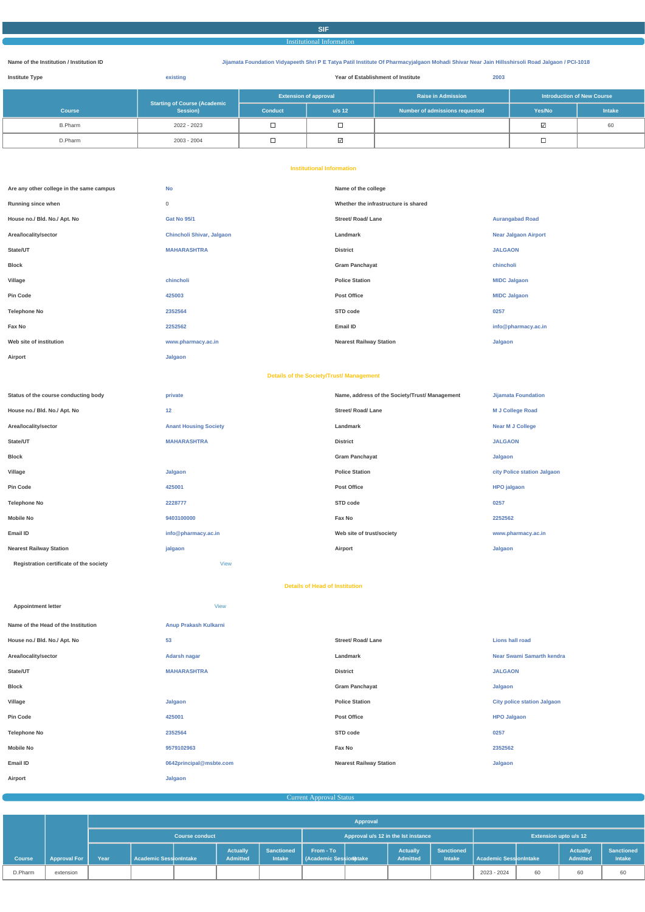#### **SIF**

Institutional Information

**Name of the Institution / Institution ID Jijamata Foundation Vidyapeeth Shri P E Tatya Patil Institute Of Pharmacyjalgaon Mohadi Shivar Near Jain Hillsshirsoli Road Jalgaon / PCI-1018**

| <b>Institute Type</b> | existing                                        | 2003<br>Year of Establishment of Institute |          |                                |                                    |        |
|-----------------------|-------------------------------------------------|--------------------------------------------|----------|--------------------------------|------------------------------------|--------|
|                       |                                                 | <b>Extension of approval</b>               |          | <b>Raise in Admission</b>      | Introduction of New Course         |        |
| <b>Course</b>         | <b>Starting of Course (Academic</b><br>Session) | <b>Conduct</b>                             | $u/s$ 12 | Number of admissions requested | Yes/No                             | Intake |
| <b>B.Pharm</b>        | 2022 - 2023                                     |                                            |          |                                | $\overline{\vee}$                  | 60     |
| D.Pharm               | 2003 - 2004                                     |                                            | ⊵        |                                | $\sim$<br>$\overline{\phantom{a}}$ |        |

#### **Institutional Information**

| Are any other college in the same campus | <b>No</b>                 | Name of the college                  |                             |
|------------------------------------------|---------------------------|--------------------------------------|-----------------------------|
| Running since when                       | $\mathbf 0$               | Whether the infrastructure is shared |                             |
| House no./ Bld. No./ Apt. No             | <b>Gat No 95/1</b>        | <b>Street/ Road/ Lane</b>            | <b>Aurangabad Road</b>      |
| Area/locality/sector                     | Chincholi Shivar, Jalgaon | Landmark                             | <b>Near Jalgaon Airport</b> |
| State/UT                                 | <b>MAHARASHTRA</b>        | <b>District</b>                      | <b>JALGAON</b>              |
| Block                                    |                           | <b>Gram Panchayat</b>                | chincholi                   |
| Village                                  | chincholi                 | <b>Police Station</b>                | <b>MIDC Jalgaon</b>         |
| Pin Code                                 | 425003                    | Post Office                          | <b>MIDC Jalgaon</b>         |
| <b>Telephone No</b>                      | 2352564                   | STD code                             | 0257                        |
| Fax No                                   | 2252562                   | Email ID                             | info@pharmacy.ac.in         |
| Web site of institution                  | www.pharmacy.ac.in        | <b>Nearest Railway Station</b>       | Jalgaon                     |
| Airport                                  | Jalgaon                   |                                      |                             |

#### **Details of the Society/Trust/ Management**

| Status of the course conducting body    | private                      | Name, address of the Society/Trust/ Management | <b>Jijamata Foundation</b>  |
|-----------------------------------------|------------------------------|------------------------------------------------|-----------------------------|
| House no./ Bld. No./ Apt. No            | 12                           | <b>Street/ Road/ Lane</b>                      | <b>M J College Road</b>     |
| Area/locality/sector                    | <b>Anant Housing Society</b> | Landmark                                       | <b>Near M J College</b>     |
| State/UT                                | <b>MAHARASHTRA</b>           | <b>District</b>                                | <b>JALGAON</b>              |
| Block                                   |                              | <b>Gram Panchayat</b>                          | Jalgaon                     |
| Village                                 | Jalgaon                      | <b>Police Station</b>                          | city Police station Jalgaon |
| Pin Code                                | 425001                       | <b>Post Office</b>                             | HPO jalgaon                 |
| <b>Telephone No</b>                     | 2228777                      | STD code                                       | 0257                        |
| Mobile No                               | 9403100000                   | <b>Fax No</b>                                  | 2252562                     |
| Email ID                                | info@pharmacy.ac.in          | Web site of trust/society                      | www.pharmacy.ac.in          |
| <b>Nearest Railway Station</b>          | jalgaon                      | Airport                                        | Jalgaon                     |
| Registration certificate of the society | <b>View</b>                  |                                                |                             |

**Details of Head of Institution**

| <b>Appointment letter</b>           | View                    |                                |                                    |
|-------------------------------------|-------------------------|--------------------------------|------------------------------------|
| Name of the Head of the Institution | Anup Prakash Kulkarni   |                                |                                    |
| House no./ Bld. No./ Apt. No        | 53                      | <b>Street/ Road/ Lane</b>      | <b>Lions hall road</b>             |
| Area/locality/sector                | Adarsh nagar            | Landmark                       | <b>Near Swami Samarth kendra</b>   |
| State/UT                            | <b>MAHARASHTRA</b>      | <b>District</b>                | <b>JALGAON</b>                     |
| <b>Block</b>                        |                         | <b>Gram Panchayat</b>          | Jalgaon                            |
| Village                             | Jalgaon                 | <b>Police Station</b>          | <b>City police station Jalgaon</b> |
| <b>Pin Code</b>                     | 425001                  | <b>Post Office</b>             | <b>HPO Jalgaon</b>                 |
| <b>Telephone No</b>                 | 2352564                 | STD code                       | 0257                               |
| <b>Mobile No</b>                    | 9579102963              | Fax No                         | 2352562                            |
| Email ID                            | 0642principal@msbte.com | <b>Nearest Railway Station</b> | Jalgaon                            |
| Airport                             | Jalgaon                 |                                |                                    |

Current Approval Status

|               |                     |                       |                        |  |                                     |                                    |                                           | Approval |                             |                                    |                               |    |                             |                             |
|---------------|---------------------|-----------------------|------------------------|--|-------------------------------------|------------------------------------|-------------------------------------------|----------|-----------------------------|------------------------------------|-------------------------------|----|-----------------------------|-----------------------------|
|               |                     | <b>Course conduct</b> |                        |  | Approval u/s 12 in the lst instance |                                    | <b>Extension upto u/s 12</b>              |          |                             |                                    |                               |    |                             |                             |
| <b>Course</b> | <b>Approval For</b> | Year                  | Academic SessionIntake |  | <b>Actually</b><br><b>Admitted</b>  | <b>Sanctioned</b><br><b>Intake</b> | From - To<br><b>Academic Session Make</b> |          | <b>Actually</b><br>Admitted | <b>Sanctioned</b><br><b>Intake</b> | <b>Academic SessionIntake</b> |    | <b>Actually</b><br>Admitted | <b>Sanctioned</b><br>Intake |
| D.Pharm       | extension           |                       |                        |  |                                     |                                    |                                           |          |                             |                                    | 2023 - 2024                   | 60 | 60                          | 60                          |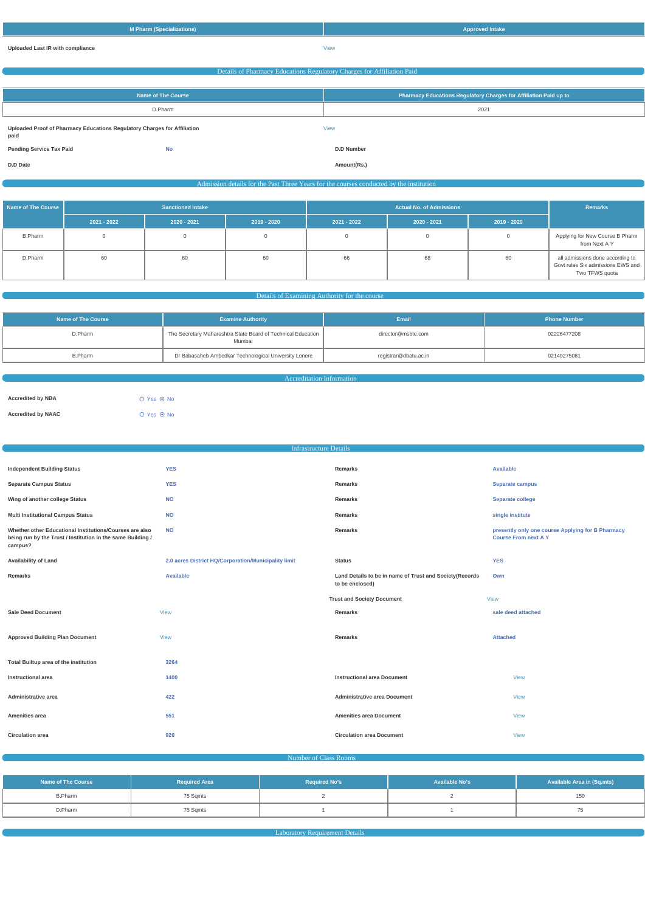| M Pharm (Specializations) | <b>Approved Intake</b> |
|---------------------------|------------------------|
|                           |                        |

# **Uploaded Last IR with compliance** View Details of Pharmacy Educations Regulatory Charges for Affiliation Paid **Name of The Course Pharmacy Educations Regulatory Charges for Affiliation Paid up to** D.Pharm 2021 **Uploaded Proof of Pharmacy Educations Regulatory Charges for Affiliation paid** View **Pending Service Tax Paid No D.D Number D.D Date Amount(Rs.)** Admission details for the Past Three Years for the courses conducted by the institution

| <b>Name of The Course</b> | <b>Sanctioned intake</b> |               |             |               | <b>Remarks</b> |               |                                                                                         |
|---------------------------|--------------------------|---------------|-------------|---------------|----------------|---------------|-----------------------------------------------------------------------------------------|
|                           | $2021 - 2022$            | $2020 - 2021$ | 2019 - 2020 | $2021 - 2022$ | $2020 - 2021$  | $2019 - 2020$ |                                                                                         |
| <b>B.Pharm</b>            |                          |               |             |               |                |               | Applying for New Course B Pharm<br>from Next A Y                                        |
| D.Pharm                   | 60                       | 60            | 60          | 66            | 68             | 60            | all admissions done according to<br>Govt rules Six admissions EWS and<br>Two TFWS quota |

#### Details of Examining Authority for the course

| <b>Examine Authority</b><br>Name of The Course |                                                                        | <b>Email</b>          | <b>Phone Number</b> |  |
|------------------------------------------------|------------------------------------------------------------------------|-----------------------|---------------------|--|
| D.Pharm                                        | The Secretary Maharashtra State Board of Technical Education<br>Mumbai |                       | 02226477208         |  |
| <b>B.Pharm</b>                                 | Dr Babasaheb Ambedkar Technological University Lonere                  | registrar@dbatu.ac.in | 02140275081         |  |

Accreditation Information

| <b>Accredited by NBA</b>  | $O$ Yes $\odot$ No |  |
|---------------------------|--------------------|--|
| <b>Accredited by NAAC</b> | $O$ Yes $\odot$ No |  |

|                                                                                                                                   | <b>Infrastructure Details</b>                        |                                                                            |                                                                                  |
|-----------------------------------------------------------------------------------------------------------------------------------|------------------------------------------------------|----------------------------------------------------------------------------|----------------------------------------------------------------------------------|
|                                                                                                                                   |                                                      |                                                                            |                                                                                  |
| <b>Independent Building Status</b>                                                                                                | <b>YES</b>                                           | <b>Remarks</b>                                                             | <b>Available</b>                                                                 |
| <b>Separate Campus Status</b>                                                                                                     | <b>YES</b>                                           | Remarks                                                                    | Separate campus                                                                  |
| Wing of another college Status                                                                                                    | <b>NO</b>                                            | Remarks                                                                    | Separate college                                                                 |
| <b>Multi Institutional Campus Status</b>                                                                                          | <b>NO</b>                                            | Remarks                                                                    | single institute                                                                 |
| Whether other Educational Institutions/Courses are also<br>being run by the Trust / Institution in the same Building /<br>campus? | <b>NO</b>                                            | <b>Remarks</b>                                                             | presently only one course Applying for B Pharmacy<br><b>Course From next A Y</b> |
| <b>Availability of Land</b>                                                                                                       | 2.0 acres District HQ/Corporation/Municipality limit | <b>Status</b>                                                              | <b>YES</b>                                                                       |
| <b>Remarks</b>                                                                                                                    | <b>Available</b>                                     | Land Details to be in name of Trust and Society(Records<br>to be enclosed) | Own                                                                              |
|                                                                                                                                   |                                                      | <b>Trust and Society Document</b>                                          | <b>View</b>                                                                      |
| <b>Sale Deed Document</b>                                                                                                         | <b>View</b>                                          | <b>Remarks</b>                                                             | sale deed attached                                                               |
| <b>Approved Building Plan Document</b>                                                                                            | <b>View</b>                                          | Remarks                                                                    | <b>Attached</b>                                                                  |
| Total Builtup area of the institution                                                                                             | 3264                                                 |                                                                            |                                                                                  |
| <b>Instructional area</b>                                                                                                         | 1400                                                 | <b>Instructional area Document</b>                                         | <b>View</b>                                                                      |

| Administrative area     | 422 | <b>Administrative area Document</b> | View        |
|-------------------------|-----|-------------------------------------|-------------|
| <b>Amenities area</b>   | 551 | <b>Amenities area Document</b>      | <b>View</b> |
| <b>Circulation area</b> | 920 | <b>Circulation area Document</b>    | <b>View</b> |

#### Number of Class Rooms

| <b>Name of The Course</b> | <b>Required Area</b> | <b>Required No's</b> | <b>Available No's</b> | <b>Available Area in (Sq.mts)</b> |  |
|---------------------------|----------------------|----------------------|-----------------------|-----------------------------------|--|
| <b>B.Pharm</b>            | 75 Sqmts             |                      |                       | 150                               |  |
| D.Pharm                   | 75 Sqmts             |                      |                       |                                   |  |

**Laboratory Requirement Details Constitution Constitution Constitution**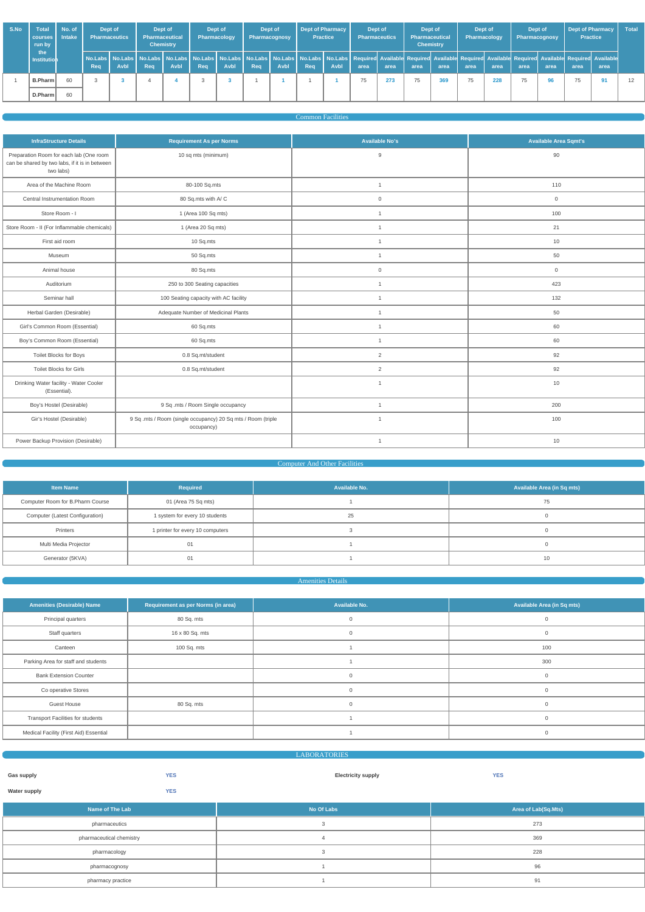| S.No | <b>Total</b><br>courses I<br>run by | No. of<br><b>Intake</b> | Dept of<br><b>Pharmaceutics</b> |             | Dept of<br><b>Pharmaceutical</b> | <b>Chemistry</b> | Dept of<br>Pharmacology |                                                                                                                                                                                                                                        | Dept of<br>Pharmacognosy |             | Dept of Pharmacy | <b>Practice</b> | Dept of<br><b>Pharmaceutics</b> |      | Dept of<br><b>Pharmaceutical</b><br><b>Chemistry</b> |      | Dept of<br><b>Pharmacology</b> |      | Dept of<br><b>Pharmacognosy</b> |      | <b>Dept of Pharmacy</b><br><b>Practice</b> |      | <b>Total</b> |
|------|-------------------------------------|-------------------------|---------------------------------|-------------|----------------------------------|------------------|-------------------------|----------------------------------------------------------------------------------------------------------------------------------------------------------------------------------------------------------------------------------------|--------------------------|-------------|------------------|-----------------|---------------------------------|------|------------------------------------------------------|------|--------------------------------|------|---------------------------------|------|--------------------------------------------|------|--------------|
|      | the i<br>Institution                |                         | Req                             | <b>Avbl</b> | Rea                              | Avbl             | Req                     | No.Labs   No.Labs   No.Labs   No.Labs   No.Labs   No.Labs   No.Labs   No.Labs   No.Labs   No.Labs   Required Available Required Available Required Available Required Available Required Available Required Available Required<br>Avbl | Req                      | <b>Avbl</b> | Req <sup>1</sup> | Avbl            | area                            | area | area                                                 | area | area                           | area | area                            | area | area                                       | area |              |
|      | B.Pharm                             | 60                      |                                 |             |                                  |                  | - 3                     |                                                                                                                                                                                                                                        |                          |             |                  |                 | 75                              | 273  | 75                                                   | 369  | 75                             | 228  | 75                              | 96   | 75                                         | 91   | 12           |
|      | D.Pharm                             | 60                      |                                 |             |                                  |                  |                         |                                                                                                                                                                                                                                        |                          |             |                  |                 |                                 |      |                                                      |      |                                |      |                                 |      |                                            |      |              |

## Common Facilities

| <b>InfraStructure Details</b>                                                                          | <b>Requirement As per Norms</b>                                            | <b>Available No's</b> | <b>Available Area Sqmt's</b> |
|--------------------------------------------------------------------------------------------------------|----------------------------------------------------------------------------|-----------------------|------------------------------|
| Preparation Room for each lab (One room<br>can be shared by two labs, if it is in between<br>two labs) | 10 sq mts (minimum)                                                        | 9                     | 90                           |
| Area of the Machine Room                                                                               | 80-100 Sq.mts                                                              | $\overline{1}$        | 110                          |
| Central Instrumentation Room                                                                           | 80 Sq.mts with A/C                                                         | $\mathsf{O}\xspace$   | $\overline{0}$               |
| Store Room - I                                                                                         | 1 (Area 100 Sq mts)                                                        | $\overline{1}$        | 100                          |
| Store Room - II (For Inflammable chemicals)                                                            | 1 (Area 20 Sq mts)                                                         | $\mathbf{1}$          | 21                           |
| First aid room                                                                                         | 10 Sq.mts                                                                  | $\overline{1}$        | 10                           |
| Museum                                                                                                 | 50 Sq.mts                                                                  | $\overline{1}$        | 50                           |
| Animal house                                                                                           | 80 Sq.mts                                                                  | $\mathbf 0$           | $\mathbf 0$                  |
| Auditorium                                                                                             | 250 to 300 Seating capacities                                              | $\mathbf{1}$          | 423                          |
| Seminar hall                                                                                           | 100 Seating capacity with AC facility                                      | $\overline{1}$        | 132                          |
| Herbal Garden (Desirable)                                                                              | Adequate Number of Medicinal Plants                                        | $\overline{1}$        | 50                           |
| Girl's Common Room (Essential)                                                                         | 60 Sq.mts                                                                  | $\mathbf{1}$          | 60                           |
| Boy's Common Room (Essential)                                                                          | 60 Sq.mts                                                                  | $\overline{1}$        | 60                           |
| Toilet Blocks for Boys                                                                                 | 0.8 Sq.mt/student                                                          | $\overline{2}$        | 92                           |
| Toilet Blocks for Girls                                                                                | 0.8 Sq.mt/student                                                          | $\overline{2}$        | 92                           |
| Drinking Water facility - Water Cooler<br>(Essential).                                                 |                                                                            | $\mathbf{1}$          | 10                           |
| Boy's Hostel (Desirable)                                                                               | 9 Sq .mts / Room Single occupancy                                          | $\overline{1}$        | 200                          |
| Gir's Hostel (Desirable)                                                                               | 9 Sq .mts / Room (single occupancy) 20 Sq mts / Room (triple<br>occupancy) | $\overline{1}$        | 100                          |
| Power Backup Provision (Desirable)                                                                     |                                                                            | $\overline{1}$        | 10                           |

## **Computer And Other Facilities**

| <b>Item Name</b>                 | Required                         | Available No. | <b>Available Area (in Sq mts)</b> |
|----------------------------------|----------------------------------|---------------|-----------------------------------|
| Computer Room for B.Pharm Course | 01 (Area 75 Sq mts)              |               | 75                                |
| Computer (Latest Configuration)  | 1 system for every 10 students   | 25            |                                   |
| Printers                         | 1 printer for every 10 computers |               |                                   |
| Multi Media Projector            |                                  |               |                                   |
| Generator (5KVA)                 |                                  |               | 10                                |

#### Amenities Details

| <b>Amenities (Desirable) Name</b>        | Requirement as per Norms (in area) | Available No. | Available Area (in Sq mts) |
|------------------------------------------|------------------------------------|---------------|----------------------------|
| Principal quarters                       | 80 Sq. mts                         | $\Omega$      |                            |
| Staff quarters                           | 16 x 80 Sq. mts                    | $\Omega$      | $\Omega$                   |
| Canteen                                  | 100 Sq. mts                        |               | 100                        |
| Parking Area for staff and students      |                                    |               | 300                        |
| <b>Bank Extension Counter</b>            |                                    | $\mathbf 0$   | $\mathbf 0$                |
| Co operative Stores                      |                                    |               |                            |
| <b>Guest House</b>                       | 80 Sq. mts                         | $\Omega$      |                            |
| <b>Transport Facilities for students</b> |                                    |               | $\Omega$                   |
| Medical Facility (First Aid) Essential   |                                    |               |                            |

| <b>LABORATORIES</b> |            |                           |            |  |  |  |  |  |
|---------------------|------------|---------------------------|------------|--|--|--|--|--|
|                     |            |                           |            |  |  |  |  |  |
| <b>Gas supply</b>   | <b>YES</b> | <b>Electricity supply</b> | <b>YES</b> |  |  |  |  |  |
| <b>Water supply</b> | <b>YES</b> |                           |            |  |  |  |  |  |

| Name of The Lab          | No Of Labs | Area of Lab(Sq.Mts) |
|--------------------------|------------|---------------------|
| pharmaceutics            |            | 273                 |
| pharmaceutical chemistry |            | 369                 |
| pharmacology             |            | 228                 |
| pharmacognosy            |            | 96                  |
| pharmacy practice        |            | 91                  |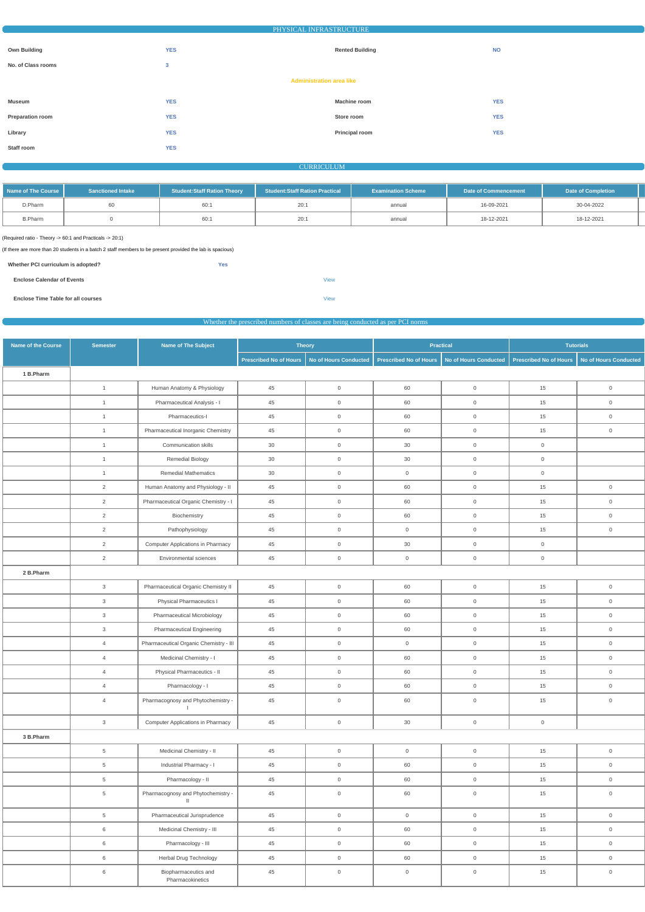|                                 | PHYSICAL INFRASTRUCTURE |                        |            |  |  |  |  |  |
|---------------------------------|-------------------------|------------------------|------------|--|--|--|--|--|
|                                 |                         |                        |            |  |  |  |  |  |
| <b>Own Building</b>             | <b>YES</b>              | <b>Rented Building</b> | <b>NO</b>  |  |  |  |  |  |
| No. of Class rooms              | $\mathbf{3}$            |                        |            |  |  |  |  |  |
| <b>Administration area like</b> |                         |                        |            |  |  |  |  |  |
|                                 |                         |                        |            |  |  |  |  |  |
| <b>Museum</b>                   | <b>YES</b>              | <b>Machine room</b>    | <b>YES</b> |  |  |  |  |  |
| <b>Preparation room</b>         | <b>YES</b>              | Store room             | <b>YES</b> |  |  |  |  |  |
| Library                         | <b>YES</b>              | Principal room         | <b>YES</b> |  |  |  |  |  |
| Staff room                      | <b>YES</b>              |                        |            |  |  |  |  |  |

#### CURRICULUM

| Name of The Course | <b>Sanctioned Intake</b> | <b>Student:Staff Ration Theory</b> | <b>Student:Staff Ration Practical</b> | <b>Examination Scheme</b> | Date of Commencement | <b>Date of Completion</b> |  |
|--------------------|--------------------------|------------------------------------|---------------------------------------|---------------------------|----------------------|---------------------------|--|
| D.Pharm            |                          | 60:1                               | 20:                                   | annual                    | 16-09-2021           | 30-04-2022                |  |
| <b>B.Pharm</b>     |                          | 60:1                               | 20:                                   | annual                    | 18-12-2021           | 18-12-2021                |  |

(Required ratio - Theory -> 60:1 and Practicals -> 20:1)

(If there are more than 20 students in a batch 2 staff members to be present provided the lab is spacious)

| Whether PCI curriculum is adopted? | Yes |             |
|------------------------------------|-----|-------------|
| <b>Enclose Calendar of Events</b>  |     | <b>View</b> |
| Enclose Time Table for all courses |     | <b>View</b> |

## Whether the prescribed numbers of classes are being conducted as per PCI norms

| Name of the Course | <b>Semester</b> | Name of The Subject                                  |                               | <b>Theory</b>         |                               | <b>Practical</b>      |                               | <b>Tutorials</b>             |
|--------------------|-----------------|------------------------------------------------------|-------------------------------|-----------------------|-------------------------------|-----------------------|-------------------------------|------------------------------|
|                    |                 |                                                      | <b>Prescribed No of Hours</b> | No of Hours Conducted | <b>Prescribed No of Hours</b> | No of Hours Conducted | <b>Prescribed No of Hours</b> | <b>No of Hours Conducted</b> |
| 1 B.Pharm          |                 |                                                      |                               |                       |                               |                       |                               |                              |
|                    | $\mathbf{1}$    | Human Anatomy & Physiology                           | 45                            | $\overline{0}$        | 60                            | $\overline{0}$        | 15                            | $\overline{0}$               |
|                    | $\mathbf{1}$    | Pharmaceutical Analysis - I                          | 45                            | $\overline{0}$        | 60                            | $\overline{0}$        | 15                            | $\overline{0}$               |
|                    | $\mathbf{1}$    | Pharmaceutics-I                                      | 45                            | $\overline{0}$        | 60                            | $\overline{0}$        | 15                            | $\overline{0}$               |
|                    | $\mathbf{1}$    | Pharmaceutical Inorganic Chemistry                   | 45                            | $\overline{0}$        | 60                            | $\mathsf 0$           | 15                            | $\overline{0}$               |
|                    | $\mathbf{1}$    | Communication skills                                 | 30                            | $\overline{0}$        | 30                            | $\overline{0}$        | $\overline{0}$                |                              |
|                    | $\mathbf{1}$    | <b>Remedial Biology</b>                              | 30                            | $\overline{0}$        | 30                            | $\overline{0}$        | $\overline{0}$                |                              |
|                    | $\mathbf{1}$    | <b>Remedial Mathematics</b>                          | 30                            | $\overline{0}$        | $\overline{0}$                | $\overline{0}$        | $\overline{0}$                |                              |
|                    | $\overline{2}$  | Human Anatomy and Physiology - II                    | 45                            | $\overline{0}$        | 60                            | $\mathsf{O}\xspace$   | 15                            | $\mathsf{O}\xspace$          |
|                    | $\overline{2}$  | Pharmaceutical Organic Chemistry - I                 | 45                            | $\overline{0}$        | 60                            | $\mathbf 0$           | 15                            | $\overline{0}$               |
|                    | $\overline{2}$  | Biochemistry                                         | 45                            | $\overline{0}$        | 60                            | $\mathsf{O}\xspace$   | 15                            | $\overline{0}$               |
|                    | $\overline{2}$  | Pathophysiology                                      | 45                            | $\overline{0}$        | $\overline{0}$                | $\mathsf{O}\xspace$   | 15                            | $\mathsf{O}\xspace$          |
|                    | $\overline{2}$  | <b>Computer Applications in Pharmacy</b>             | 45                            | $\overline{0}$        | 30                            | $\overline{0}$        | $\overline{0}$                |                              |
|                    | $\overline{2}$  | Environmental sciences                               | 45                            | $\overline{0}$        | $\overline{0}$                | $\overline{0}$        | $\overline{0}$                |                              |
| 2 B.Pharm          |                 |                                                      |                               |                       |                               |                       |                               |                              |
|                    | 3               | Pharmaceutical Organic Chemistry II                  | 45                            | $\overline{0}$        | 60                            | $\mathsf 0$           | 15                            | $\overline{0}$               |
|                    | $\mathbf{3}$    | <b>Physical Pharmaceutics I</b>                      | 45                            | $\overline{0}$        | 60                            | $\overline{0}$        | 15                            | $\overline{0}$               |
|                    | 3               | Pharmaceutical Microbiology                          | 45                            | $\overline{0}$        | 60                            | $\overline{0}$        | 15                            | $\overline{0}$               |
|                    | $\mathbf{3}$    | <b>Pharmaceutical Engineering</b>                    | 45                            | $\overline{0}$        | 60                            | $\overline{0}$        | 15                            | $\overline{0}$               |
|                    | $\overline{4}$  | Pharmaceutical Organic Chemistry - III               | 45                            | $\mathsf 0$           | $\mathsf{O}\xspace$           | $\mathsf{O}\xspace$   | 15                            | $\mathsf{O}\xspace$          |
|                    | $\overline{4}$  | Medicinal Chemistry - I                              | 45                            | $\overline{0}$        | 60                            | $\mathsf 0$           | 15                            | $\overline{0}$               |
|                    | $\overline{4}$  | Physical Pharmaceutics - II                          | 45                            | $\mathsf 0$           | 60                            | $\mathsf 0$           | 15                            | $\overline{0}$               |
|                    | $\overline{4}$  | Pharmacology - I                                     | 45                            | $\overline{0}$        | 60                            | $\mathsf{O}\xspace$   | 15                            | $\mathsf{O}\xspace$          |
|                    | $\overline{4}$  | Pharmacognosy and Phytochemistry -<br>$\mathbf{I}$   | 45                            | $\mathsf 0$           | 60                            | $\mathsf{O}\xspace$   | 15                            | $\mathsf{O}\xspace$          |
|                    | $\mathbf{3}$    | <b>Computer Applications in Pharmacy</b>             | 45                            | $\mathbb O$           | $30\,$                        | $\mathsf{O}\xspace$   | $\mathsf{O}$                  |                              |
| 3 B.Pharm          |                 |                                                      |                               |                       |                               |                       |                               |                              |
|                    | 5 <sup>5</sup>  | Medicinal Chemistry - II                             | 45                            | $\mathsf{O}\xspace$   | $\mathsf{O}\xspace$           | $\mathsf{O}\xspace$   | 15                            | $\mathsf{O}\xspace$          |
|                    | $5\overline{)}$ | Industrial Pharmacy - I                              | 45                            | $\overline{0}$        | 60                            | $\mathsf{O}\xspace$   | 15                            | $\mathsf{O}$                 |
|                    | 5 <sup>5</sup>  | Pharmacology - II                                    | 45                            | $\overline{0}$        | 60                            | $\mathsf{O}\xspace$   | 15                            | $\overline{0}$               |
|                    | $5\overline{)}$ | Pharmacognosy and Phytochemistry -<br>$\, \parallel$ | 45                            | $\mathsf 0$           | 60                            | $\mathsf{O}\xspace$   | 15                            | $\mathsf{O}\xspace$          |
|                    | 5 <sup>5</sup>  | Pharmaceutical Jurisprudence                         | 45                            | $\mathsf{O}\xspace$   | $\mathsf{O}\xspace$           | $\mathsf{O}\xspace$   | 15                            | $\mathsf{O}$                 |
|                    | $6\overline{6}$ | Medicinal Chemistry - III                            | 45                            | $\overline{0}$        | 60                            | $\mathsf{O}\xspace$   | 15                            | $\mathsf{O}$                 |
|                    | $6\overline{6}$ | Pharmacology - III                                   | 45                            | $\overline{0}$        | 60                            | $\mathsf{O}\xspace$   | 15                            | $\overline{0}$               |
|                    | 6               | Herbal Drug Technology                               | 45                            | $\overline{0}$        | 60                            | $\overline{0}$        | 15                            | $\mathsf{O}$                 |
|                    | 6               | Biopharmaceutics and<br>Pharmacokinetics             | 45                            | $\mathsf{O}\xspace$   | $\mathsf{O}$                  | $\mathsf{O}\xspace$   | 15                            | $\mathsf{O}\xspace$          |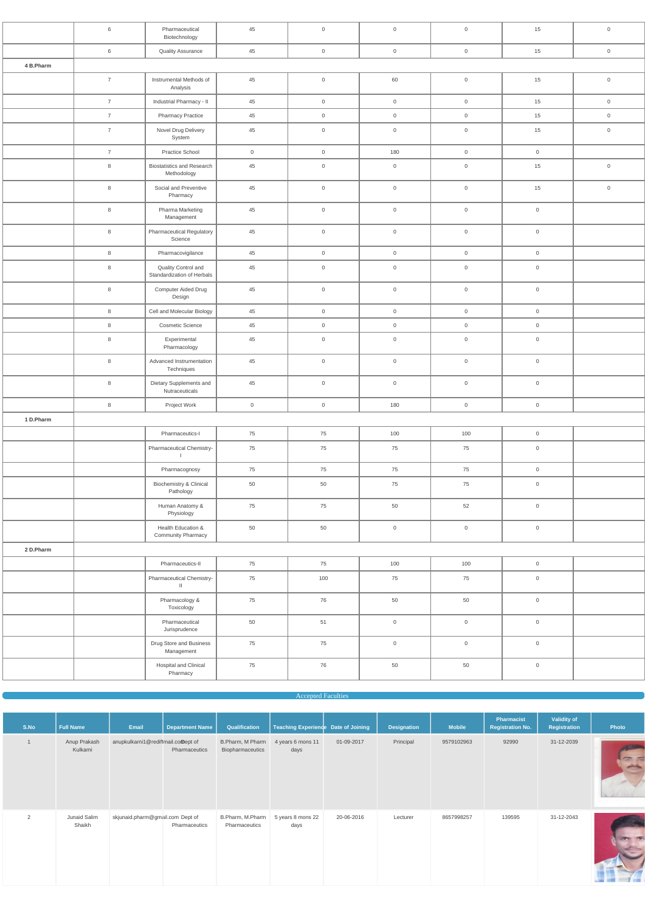|           | 6              | Pharmaceutical<br>Biotechnology                   | 45             | $\mathsf{O}\xspace$ | $\mathbb O$         | $\overline{0}$      | 15                  | $\mathbf 0$         |
|-----------|----------------|---------------------------------------------------|----------------|---------------------|---------------------|---------------------|---------------------|---------------------|
|           | $\,6\,$        | <b>Quality Assurance</b>                          | 45             | $\mathbf 0$         | $\overline{0}$      | $\overline{0}$      | 15                  | $\overline{0}$      |
| 4 B.Pharm |                |                                                   |                |                     |                     |                     |                     |                     |
|           | $\overline{7}$ | Instrumental Methods of<br>Analysis               | 45             | $\,0\,$             | 60                  | $\mathsf{O}\xspace$ | 15                  | $\mathsf{O}\xspace$ |
|           | $\overline{7}$ | Industrial Pharmacy - II                          | 45             | $\overline{0}$      | $\overline{0}$      | $\overline{0}$      | 15                  | $\mathsf{O}\xspace$ |
|           | $\overline{7}$ | <b>Pharmacy Practice</b>                          | 45             | $\overline{0}$      | $\overline{0}$      | $\overline{0}$      | 15                  | $\overline{0}$      |
|           | $\overline{7}$ | Novel Drug Delivery<br>System                     | 45             | $\mathsf{O}\xspace$ | $\mathbb O$         | $\mathsf{O}\xspace$ | 15                  | $\mathbf 0$         |
|           | $\overline{7}$ | Practice School                                   | $\overline{0}$ | $\overline{0}$      | 180                 | $\overline{0}$      | $\overline{0}$      |                     |
|           | 8              | <b>Biostatistics and Research</b><br>Methodology  | 45             | $\mathsf{O}\xspace$ | $\mathbb O$         | $\mathsf{O}\xspace$ | 15                  | $\mathbf 0$         |
|           | 8              | Social and Preventive<br>Pharmacy                 | 45             | $\mathsf{O}\xspace$ | $\mathsf{O}\xspace$ | $\mathbf 0$         | 15                  | $\mathsf{O}\xspace$ |
|           | $\bf8$         | Pharma Marketing<br>Management                    | 45             | $\,0\,$             | $\mathsf{O}\xspace$ | $\overline{0}$      | $\mathsf{O}\xspace$ |                     |
|           | 8              | <b>Pharmaceutical Regulatory</b><br>Science       | 45             | $\mathbf 0$         | $\mathbb O$         | $\overline{0}$      | $\mathsf{O}\xspace$ |                     |
|           | $\,8\,$        | Pharmacovigilance                                 | 45             | $\mathsf{O}\xspace$ | $\overline{0}$      | $\overline{0}$      | $\overline{0}$      |                     |
|           | 8              | Quality Control and<br>Standardization of Herbals | 45             | $\mathsf{O}\xspace$ | $\mathbb O$         | $\overline{0}$      | $\mathsf{O}\xspace$ |                     |
|           | $\,8\,$        | Computer Aided Drug<br>Design                     | 45             | $\mathsf{O}\xspace$ | $\mathsf{O}\xspace$ | $\mathbf 0$         | $\mathsf{O}\xspace$ |                     |
|           | $\,8\,$        | Cell and Molecular Biology                        | 45             | $\mathsf{O}\xspace$ | $\mathsf{O}\xspace$ | $\overline{0}$      | $\mathsf{O}\xspace$ |                     |
|           | 8              | Cosmetic Science                                  | 45             | $\overline{0}$      | $\overline{0}$      | $\overline{0}$      | $\overline{0}$      |                     |
|           | $\bf8$         | Experimental<br>Pharmacology                      | 45             | $\mathsf{O}\xspace$ | $\mathbb O$         | $\overline{0}$      | $\mathsf{O}\xspace$ |                     |
|           | 8              | Advanced Instrumentation<br>Techniques            | 45             | $\overline{0}$      | $\overline{0}$      | $\mathsf{O}$        | $\overline{0}$      |                     |
|           | $\,8\,$        | Dietary Supplements and<br>Nutraceuticals         | 45             | $\mathsf{O}\xspace$ | $\mathsf{O}$        | $\mathsf{O}\xspace$ | $\mathsf{O}\xspace$ |                     |
|           | $\,8\,$        | Project Work                                      | $\overline{0}$ | $\overline{0}$      | 180                 | $\overline{0}$      | $\overline{0}$      |                     |
| 1 D.Pharm |                |                                                   |                |                     |                     |                     |                     |                     |
|           |                | Pharmaceutics-I                                   | 75             | 75                  | 100                 | 100                 | $\mathsf{O}\xspace$ |                     |
|           |                | Pharmaceutical Chemistry-<br>- 1                  | 75             | 75                  | 75                  | 75                  | $\mathsf{O}\xspace$ |                     |
|           |                | Pharmacognosy                                     | 75             | 75                  | 75                  | 75                  | $\mathsf{O}\xspace$ |                     |
|           |                | Biochemistry & Clinical<br>Pathology              | 50             | 50                  | 75                  | 75                  | $\mathsf{O}\xspace$ |                     |
|           |                | Human Anatomy &<br>Physiology                     | 75             | 75                  | 50                  | 52                  | $\mathsf{O}\xspace$ |                     |
|           |                | Health Education &<br>Community Pharmacy          | 50             | 50                  | $\mathsf{O}$        | $\mathsf{O}\xspace$ | $\mathsf{O}\xspace$ |                     |
| 2 D.Pharm |                |                                                   |                |                     |                     |                     |                     |                     |
|           |                | Pharmaceutics-II                                  | 75             | 75                  | 100                 | 100                 | $\mathsf{O}\xspace$ |                     |
|           |                | Pharmaceutical Chemistry-<br>$\mathbf{H}$         | 75             | 100                 | 75                  | 75                  | $\mathsf{O}\xspace$ |                     |
|           |                | Pharmacology &<br>Toxicology                      | 75             | 76                  | 50                  | 50                  | $\mathbf 0$         |                     |
|           |                | Pharmaceutical<br>Jurisprudence                   | 50             | 51                  | $\mathbb O$         | $\overline{0}$      | $\mathsf{O}\xspace$ |                     |
|           |                | Drug Store and Business<br>Management             | 75             | 75                  | $\mathsf{O}\xspace$ | $\overline{0}$      | $\mathsf{O}\xspace$ |                     |
|           |                | Hospital and Clinical<br>Pharmacy                 | 75             | 76                  | 50                  | 50                  | $\boldsymbol{0}$    |                     |

#### **Accepted Faculties**

| S.No | <b>Full Name</b>         | Email                              | <b>Department Name</b> | Qualification                        | Teaching Experience Date of Joining |            | <b>Designation</b> | <b>Mobile</b> | <b>Pharmacist</b><br><b>Registration No.</b> | Validity of<br>Registration | Photo                             |
|------|--------------------------|------------------------------------|------------------------|--------------------------------------|-------------------------------------|------------|--------------------|---------------|----------------------------------------------|-----------------------------|-----------------------------------|
|      | Anup Prakash<br>Kulkarni | anupkulkarni1@rediffmail.comept of | Pharmaceutics          | B.Pharm, M Pharm<br>Biopharmaceutics | 4 years 6 mons 11<br>days           | 01-09-2017 | Principal          | 9579102963    | 92990                                        | 31-12-2039                  | <b>Contraction</b><br>graduate of |
| 2    | Junaid Salim<br>Shaikh   | skjunaid.pharm@gmail.com Dept of   | Pharmaceutics          | B.Pharm, M.Pharm<br>Pharmaceutics    | 5 years 8 mons 22<br>days           | 20-06-2016 | Lecturer           | 8657998257    | 139595                                       | 31-12-2043                  |                                   |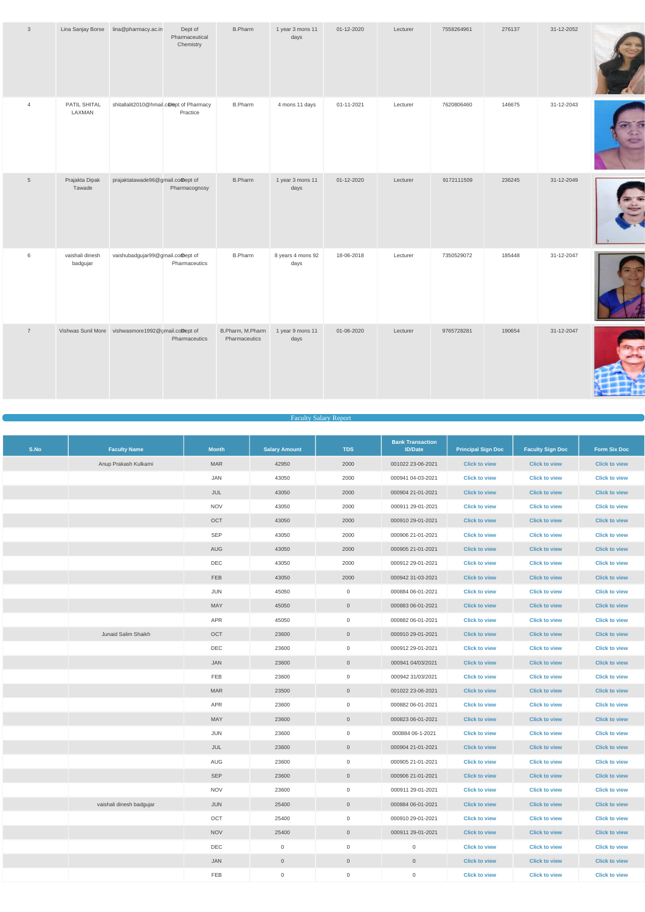| $\mathbf{3}$    |                             | Lina Sanjay Borse lina@pharmacy.ac.in              | Dept of<br>Pharmaceutical<br>Chemistry | <b>B.Pharm</b>                    | 1 year 3 mons 11<br>days  | 01-12-2020 | Lecturer | 7558264961 | 276137 | 31-12-2052 |  |
|-----------------|-----------------------------|----------------------------------------------------|----------------------------------------|-----------------------------------|---------------------------|------------|----------|------------|--------|------------|--|
| $\overline{4}$  | PATIL SHITAL<br>LAXMAN      | shitallalit2010@hmail.comept of Pharmacy           | Practice                               | <b>B.Pharm</b>                    | 4 mons 11 days            | 01-11-2021 | Lecturer | 7620806460 | 146675 | 31-12-2043 |  |
| $5\overline{)}$ | Prajakta Dipak<br>Tawade    | prajaktatawade96@gmail.comept of                   | Pharmacognosy                          | <b>B.Pharm</b>                    | 1 year 3 mons 11<br>days  | 01-12-2020 | Lecturer | 9172111509 | 236245 | 31-12-2049 |  |
| $6\phantom{.}6$ | vaishali dinesh<br>badgujar | vaishubadgujar99@gmail.comept of                   | Pharmaceutics                          | <b>B.Pharm</b>                    | 8 years 4 mons 92<br>days | 18-06-2018 | Lecturer | 7350529072 | 185448 | 31-12-2047 |  |
| $\overline{7}$  |                             | Vishwas Sunil More vishwasmore1992@gmail.coDept of | Pharmaceutics                          | B.Pharm, M.Pharm<br>Pharmaceutics | 1 year 9 mons 11<br>days  | 01-06-2020 | Lecturer | 9765728281 | 190654 | 31-12-2047 |  |

#### Faculty Salary Report

| S.No | <b>Faculty Name</b>      | <b>Month</b> | <b>Salary Amount</b> | <b>TDS</b>     | <b>Bank Transaction</b><br><b>ID/Date</b> | <b>Principal Sign Doc</b> | <b>Faculty Sign Doc</b> | <b>Form Six Doc</b>  |
|------|--------------------------|--------------|----------------------|----------------|-------------------------------------------|---------------------------|-------------------------|----------------------|
|      | Anup Prakash Kulkarni    | <b>MAR</b>   | 42950                | 2000           | 001022 23-06-2021                         | <b>Click to view</b>      | <b>Click to view</b>    | <b>Click to view</b> |
|      |                          | JAN          | 43050                | 2000           | 000941 04-03-2021                         | <b>Click to view</b>      | <b>Click to view</b>    | <b>Click to view</b> |
|      |                          | JUL          | 43050                | 2000           | 000904 21-01-2021                         | <b>Click to view</b>      | <b>Click to view</b>    | <b>Click to view</b> |
|      |                          | <b>NOV</b>   | 43050                | 2000           | 000911 29-01-2021                         | <b>Click to view</b>      | <b>Click to view</b>    | <b>Click to view</b> |
|      |                          | OCT          | 43050                | 2000           | 000910 29-01-2021                         | <b>Click to view</b>      | <b>Click to view</b>    | <b>Click to view</b> |
|      |                          | <b>SEP</b>   | 43050                | 2000           | 000906 21-01-2021                         | <b>Click to view</b>      | <b>Click to view</b>    | <b>Click to view</b> |
|      |                          | AUG          | 43050                | 2000           | 000905 21-01-2021                         | <b>Click to view</b>      | <b>Click to view</b>    | <b>Click to view</b> |
|      |                          | DEC          | 43050                | 2000           | 000912 29-01-2021                         | <b>Click to view</b>      | <b>Click to view</b>    | <b>Click to view</b> |
|      |                          | FEB          | 43050                | 2000           | 000942 31-03-2021                         | <b>Click to view</b>      | <b>Click to view</b>    | <b>Click to view</b> |
|      |                          | JUN          | 45050                | $\overline{0}$ | 000884 06-01-2021                         | <b>Click to view</b>      | <b>Click to view</b>    | <b>Click to view</b> |
|      |                          | MAY          | 45050                | $\overline{0}$ | 000883 06-01-2021                         | <b>Click to view</b>      | <b>Click to view</b>    | <b>Click to view</b> |
|      |                          | APR          | 45050                | $\overline{0}$ | 000882 06-01-2021                         | <b>Click to view</b>      | <b>Click to view</b>    | <b>Click to view</b> |
|      | Junaid Salim Shaikh      | OCT          | 23600                | $\overline{0}$ | 000910 29-01-2021                         | <b>Click to view</b>      | <b>Click to view</b>    | <b>Click to view</b> |
|      |                          | DEC          | 23600                | $\overline{0}$ | 000912 29-01-2021                         | <b>Click to view</b>      | <b>Click to view</b>    | <b>Click to view</b> |
|      |                          | JAN          | 23600                | $\overline{0}$ | 000941 04/03/2021                         | <b>Click to view</b>      | <b>Click to view</b>    | <b>Click to view</b> |
|      |                          | FEB          | 23600                | $\overline{0}$ | 000942 31/03/2021                         | <b>Click to view</b>      | <b>Click to view</b>    | <b>Click to view</b> |
|      |                          | <b>MAR</b>   | 23500                | $\overline{0}$ | 001022 23-06-2021                         | <b>Click to view</b>      | <b>Click to view</b>    | <b>Click to view</b> |
|      |                          | APR          | 23600                | $\overline{0}$ | 000882 06-01-2021                         | <b>Click to view</b>      | <b>Click to view</b>    | <b>Click to view</b> |
|      |                          | <b>MAY</b>   | 23600                | $\overline{0}$ | 000823 06-01-2021                         | <b>Click to view</b>      | <b>Click to view</b>    | <b>Click to view</b> |
|      |                          | JUN          | 23600                | $\overline{0}$ | 000884 06-1-2021                          | <b>Click to view</b>      | <b>Click to view</b>    | <b>Click to view</b> |
|      |                          | JUL          | 23600                | $\overline{0}$ | 000904 21-01-2021                         | <b>Click to view</b>      | <b>Click to view</b>    | <b>Click to view</b> |
|      |                          | AUG          | 23600                | $\overline{0}$ | 000905 21-01-2021                         | <b>Click to view</b>      | <b>Click to view</b>    | <b>Click to view</b> |
|      |                          | <b>SEP</b>   | 23600                | $\overline{0}$ | 000906 21-01-2021                         | <b>Click to view</b>      | <b>Click to view</b>    | <b>Click to view</b> |
|      |                          | <b>NOV</b>   | 23600                | $\overline{0}$ | 000911 29-01-2021                         | <b>Click to view</b>      | <b>Click to view</b>    | <b>Click to view</b> |
|      | vaishali dinesh badgujar | JUN          | 25400                | $\overline{0}$ | 000884 06-01-2021                         | <b>Click to view</b>      | <b>Click to view</b>    | <b>Click to view</b> |
|      |                          | OCT          | 25400                | $\overline{0}$ | 000910 29-01-2021                         | <b>Click to view</b>      | <b>Click to view</b>    | <b>Click to view</b> |
|      |                          | <b>NOV</b>   | 25400                | $\overline{0}$ | 000911 29-01-2021                         | <b>Click to view</b>      | <b>Click to view</b>    | <b>Click to view</b> |
|      |                          | DEC          | $\mathsf{O}$         | $\overline{0}$ | $\overline{0}$                            | <b>Click to view</b>      | <b>Click to view</b>    | <b>Click to view</b> |
|      |                          | JAN          | $\boldsymbol{0}$     | $\mathsf{O}^-$ | $\overline{0}$                            | <b>Click to view</b>      | <b>Click to view</b>    | <b>Click to view</b> |
|      |                          | FEB          | $\,0\,$              | $\overline{0}$ | $\overline{0}$                            | <b>Click to view</b>      | <b>Click to view</b>    | <b>Click to view</b> |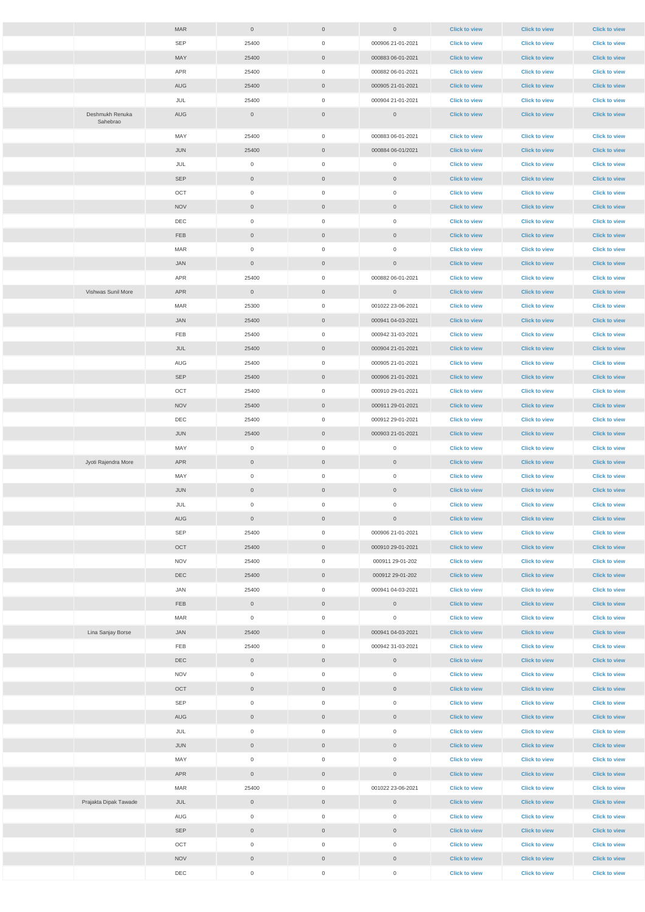|                             | <b>MAR</b> |                     |                     |                     |                      |                      |                      |
|-----------------------------|------------|---------------------|---------------------|---------------------|----------------------|----------------------|----------------------|
|                             |            | $\overline{0}$      | $\overline{0}$      | $\overline{0}$      | <b>Click to view</b> | <b>Click to view</b> | <b>Click to view</b> |
|                             | <b>SEP</b> | 25400               | $\overline{0}$      | 000906 21-01-2021   | <b>Click to view</b> | <b>Click to view</b> | <b>Click to view</b> |
|                             | MAY        | 25400               | $\overline{0}$      | 000883 06-01-2021   | <b>Click to view</b> | <b>Click to view</b> | <b>Click to view</b> |
|                             | APR        | 25400               | $\overline{0}$      | 000882 06-01-2021   | <b>Click to view</b> | <b>Click to view</b> | <b>Click to view</b> |
|                             | AUG        | 25400               | $\overline{0}$      | 000905 21-01-2021   | <b>Click to view</b> | <b>Click to view</b> | <b>Click to view</b> |
|                             | JUL        | 25400               | $\overline{0}$      | 000904 21-01-2021   | <b>Click to view</b> | <b>Click to view</b> | <b>Click to view</b> |
| Deshmukh Renuka<br>Sahebrao | AUG        | $\overline{0}$      | $\overline{0}$      | $\overline{0}$      | <b>Click to view</b> | <b>Click to view</b> | <b>Click to view</b> |
|                             | MAY        | 25400               | $\overline{0}$      | 000883 06-01-2021   | <b>Click to view</b> | <b>Click to view</b> | <b>Click to view</b> |
|                             | JUN        | 25400               | $\overline{0}$      | 000884 06-01/2021   | <b>Click to view</b> | <b>Click to view</b> | <b>Click to view</b> |
|                             | JUL        | $\overline{0}$      | $\overline{0}$      | $\overline{0}$      | <b>Click to view</b> | <b>Click to view</b> | <b>Click to view</b> |
|                             | SEP        | $\overline{0}$      | $\overline{0}$      | $\overline{0}$      | <b>Click to view</b> | <b>Click to view</b> | <b>Click to view</b> |
|                             | OCT        | $\overline{0}$      | $\overline{0}$      | $\mathbf 0$         | <b>Click to view</b> | <b>Click to view</b> | <b>Click to view</b> |
|                             | <b>NOV</b> | $\overline{0}$      | $\overline{0}$      | $\boldsymbol{0}$    | <b>Click to view</b> | <b>Click to view</b> | <b>Click to view</b> |
|                             | DEC        | $\overline{0}$      | $\overline{0}$      | $\mathbf 0$         | <b>Click to view</b> | <b>Click to view</b> | <b>Click to view</b> |
|                             | <b>FEB</b> | $\overline{0}$      | $\overline{0}$      | $\mathbf 0$         | <b>Click to view</b> | <b>Click to view</b> | <b>Click to view</b> |
|                             | <b>MAR</b> | $\overline{0}$      | $\overline{0}$      | $\mathbf 0$         | <b>Click to view</b> | <b>Click to view</b> | <b>Click to view</b> |
|                             | <b>JAN</b> | $\overline{0}$      | $\overline{0}$      | $\overline{0}$      | <b>Click to view</b> | <b>Click to view</b> | <b>Click to view</b> |
|                             | APR        | 25400               | $\overline{0}$      | 000882 06-01-2021   | <b>Click to view</b> | <b>Click to view</b> | <b>Click to view</b> |
| Vishwas Sunil More          | APR        | $\overline{0}$      | $\overline{0}$      | $\overline{0}$      | <b>Click to view</b> | <b>Click to view</b> | <b>Click to view</b> |
|                             | MAR        | 25300               | $\overline{0}$      | 001022 23-06-2021   | <b>Click to view</b> | <b>Click to view</b> | <b>Click to view</b> |
|                             | JAN        | 25400               | $\overline{0}$      | 000941 04-03-2021   | <b>Click to view</b> | <b>Click to view</b> | <b>Click to view</b> |
|                             | FEB        | 25400               | $\overline{0}$      | 000942 31-03-2021   | <b>Click to view</b> | <b>Click to view</b> | <b>Click to view</b> |
|                             | JUL        | 25400               | $\overline{0}$      | 000904 21-01-2021   | <b>Click to view</b> | <b>Click to view</b> | <b>Click to view</b> |
|                             | AUG        |                     | $\overline{0}$      | 000905 21-01-2021   |                      | <b>Click to view</b> |                      |
|                             |            | 25400               |                     |                     | <b>Click to view</b> |                      | <b>Click to view</b> |
|                             | <b>SEP</b> | 25400               | $\overline{0}$      | 000906 21-01-2021   | <b>Click to view</b> | <b>Click to view</b> | <b>Click to view</b> |
|                             | OCT        | 25400               | $\overline{0}$      | 000910 29-01-2021   | <b>Click to view</b> | <b>Click to view</b> | <b>Click to view</b> |
|                             | <b>NOV</b> | 25400               | $\overline{0}$      | 000911 29-01-2021   | <b>Click to view</b> | <b>Click to view</b> | <b>Click to view</b> |
|                             | DEC        | 25400               | $\overline{0}$      | 000912 29-01-2021   | <b>Click to view</b> | <b>Click to view</b> | <b>Click to view</b> |
|                             | JUN        | 25400               | $\overline{0}$      | 000903 21-01-2021   | <b>Click to view</b> | <b>Click to view</b> | <b>Click to view</b> |
|                             | MAY        | $\overline{0}$      | $\overline{0}$      | $\mathbf 0$         | <b>Click to view</b> | <b>Click to view</b> | <b>Click to view</b> |
| Jyoti Rajendra More         | APR        | $\overline{0}$      | $\overline{0}$      | $\overline{0}$      | <b>Click to view</b> | <b>Click to view</b> | <b>Click to view</b> |
|                             | MAY        | $\overline{0}$      | $\overline{0}$      | $\mathbf 0$         | <b>Click to view</b> | <b>Click to view</b> | <b>Click to view</b> |
|                             | JUN        | $\overline{0}$      | $\overline{0}$      | $\mathbf 0$         | <b>Click to view</b> | <b>Click to view</b> | <b>Click to view</b> |
|                             | JUL        | $\overline{0}$      | $\overline{0}$      | $\mathbf 0$         | <b>Click to view</b> | <b>Click to view</b> | <b>Click to view</b> |
|                             | AUG        | $\overline{0}$      | $\overline{0}$      | $\overline{0}$      | <b>Click to view</b> | <b>Click to view</b> | <b>Click to view</b> |
|                             | SEP        | 25400               | $\overline{0}$      | 000906 21-01-2021   | <b>Click to view</b> | <b>Click to view</b> | <b>Click to view</b> |
|                             | OCT        | 25400               | $\overline{0}$      | 000910 29-01-2021   | <b>Click to view</b> | <b>Click to view</b> | <b>Click to view</b> |
|                             | <b>NOV</b> | 25400               | $\overline{0}$      | 000911 29-01-202    | <b>Click to view</b> | <b>Click to view</b> | <b>Click to view</b> |
|                             | <b>DEC</b> | 25400               | $\overline{0}$      | 000912 29-01-202    | <b>Click to view</b> | <b>Click to view</b> | <b>Click to view</b> |
|                             | JAN        | 25400               | $\overline{0}$      | 000941 04-03-2021   | <b>Click to view</b> | <b>Click to view</b> | <b>Click to view</b> |
|                             | <b>FEB</b> | $\overline{0}$      | $\overline{0}$      | $\overline{0}$      | <b>Click to view</b> | <b>Click to view</b> | <b>Click to view</b> |
|                             | MAR        | $\overline{0}$      | $\overline{0}$      | $\mathbf 0$         | <b>Click to view</b> | <b>Click to view</b> | <b>Click to view</b> |
| Lina Sanjay Borse           | JAN        | 25400               | $\overline{0}$      | 000941 04-03-2021   | <b>Click to view</b> | <b>Click to view</b> | <b>Click to view</b> |
|                             | FEB        | 25400               | $\overline{0}$      | 000942 31-03-2021   | <b>Click to view</b> | <b>Click to view</b> | <b>Click to view</b> |
|                             | <b>DEC</b> | $\overline{0}$      | $\overline{0}$      | $\mathbf 0$         | <b>Click to view</b> | <b>Click to view</b> | <b>Click to view</b> |
|                             | <b>NOV</b> | $\overline{0}$      | $\overline{0}$      | $\overline{0}$      | <b>Click to view</b> | <b>Click to view</b> | <b>Click to view</b> |
|                             | OCT        | $\overline{0}$      | $\overline{0}$      | $\overline{0}$      | <b>Click to view</b> | <b>Click to view</b> | <b>Click to view</b> |
|                             | SEP        | $\overline{0}$      | $\mathbf 0$         | $\mathbf 0$         | <b>Click to view</b> | <b>Click to view</b> | <b>Click to view</b> |
|                             | AUG        | $\mathbb O$         | $\overline{0}$      | $\mathbf 0$         | <b>Click to view</b> | <b>Click to view</b> | <b>Click to view</b> |
|                             | JUL        | $\,0\,$             | $\mathsf{O}\xspace$ | $\mathsf{O}\xspace$ | <b>Click to view</b> | <b>Click to view</b> | <b>Click to view</b> |
|                             | JUN        | $\mathsf{O}\xspace$ | $\overline{0}$      | $\mathsf{O}\xspace$ | <b>Click to view</b> | <b>Click to view</b> | <b>Click to view</b> |
|                             | MAY        | $\mathsf{O}\xspace$ | $\overline{0}$      | $\mathsf{O}\xspace$ | <b>Click to view</b> | <b>Click to view</b> | <b>Click to view</b> |
|                             | APR        | $\overline{0}$      | $\overline{0}$      | $\mathbf 0$         | <b>Click to view</b> | <b>Click to view</b> | <b>Click to view</b> |
|                             | MAR        | 25400               | $\overline{0}$      | 001022 23-06-2021   | <b>Click to view</b> | <b>Click to view</b> | <b>Click to view</b> |
| Prajakta Dipak Tawade       | JUL        | $\overline{0}$      | $\overline{0}$      | $\mathbf 0$         | <b>Click to view</b> | <b>Click to view</b> | <b>Click to view</b> |
|                             | AUG        | $\overline{0}$      | $\overline{0}$      | $\mathsf{O}\xspace$ | <b>Click to view</b> | <b>Click to view</b> | <b>Click to view</b> |
|                             | <b>SEP</b> | $\mathbb O$         | $\overline{0}$      | $\boldsymbol{0}$    | <b>Click to view</b> | <b>Click to view</b> | <b>Click to view</b> |
|                             | OCT        | $\boldsymbol{0}$    | $\overline{0}$      | $\mathsf{O}\xspace$ | <b>Click to view</b> | <b>Click to view</b> | <b>Click to view</b> |
|                             |            |                     |                     |                     |                      |                      |                      |
|                             | <b>NOV</b> | $\overline{0}$      | $\overline{0}$      | $\boldsymbol{0}$    | <b>Click to view</b> | <b>Click to view</b> | <b>Click to view</b> |
|                             | DEC        | $\overline{0}$      | $\overline{0}$      | $\mathsf{O}\xspace$ | <b>Click to view</b> | <b>Click to view</b> | <b>Click to view</b> |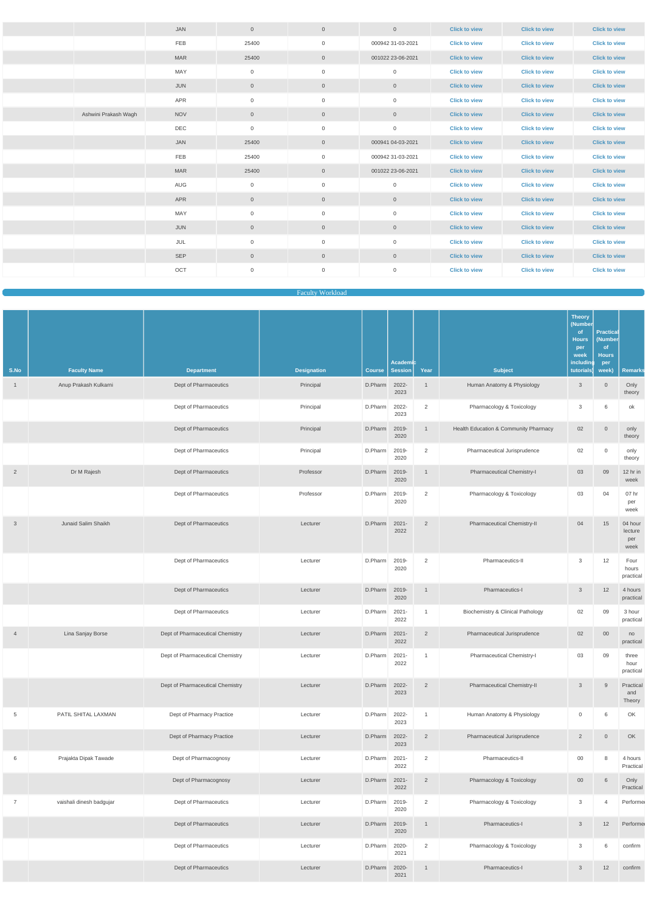|                      | <b>JAN</b> | $\overline{0}$   | $\overline{0}$ | $\overline{0}$      | <b>Click to view</b> | <b>Click to view</b> | <b>Click to view</b> |
|----------------------|------------|------------------|----------------|---------------------|----------------------|----------------------|----------------------|
|                      | FEB        | 25400            | $\overline{0}$ | 000942 31-03-2021   | <b>Click to view</b> | <b>Click to view</b> | <b>Click to view</b> |
|                      | <b>MAR</b> | 25400            | $\overline{0}$ | 001022 23-06-2021   | <b>Click to view</b> | <b>Click to view</b> | <b>Click to view</b> |
|                      | MAY        | $\boldsymbol{0}$ | $\overline{0}$ | $\mathbf 0$         | <b>Click to view</b> | <b>Click to view</b> | <b>Click to view</b> |
|                      | <b>JUN</b> | $\mathbb O$      | $\overline{0}$ | $\mathsf{O}\xspace$ | <b>Click to view</b> | <b>Click to view</b> | <b>Click to view</b> |
|                      | <b>APR</b> | $\boldsymbol{0}$ | $\mathbf 0$    | $\mathbf 0$         | <b>Click to view</b> | <b>Click to view</b> | <b>Click to view</b> |
| Ashwini Prakash Wagh | <b>NOV</b> | $\overline{0}$   | $\overline{0}$ | $\mathbf 0$         | <b>Click to view</b> | <b>Click to view</b> | <b>Click to view</b> |
|                      | DEC        | $\mathbf 0$      | $\mathbf 0$    | $\mathbf 0$         | <b>Click to view</b> | <b>Click to view</b> | <b>Click to view</b> |
|                      | <b>JAN</b> | 25400            | $\overline{0}$ | 000941 04-03-2021   | <b>Click to view</b> | <b>Click to view</b> | <b>Click to view</b> |
|                      | FEB        | 25400            | $\overline{0}$ | 000942 31-03-2021   | <b>Click to view</b> | <b>Click to view</b> | <b>Click to view</b> |
|                      | <b>MAR</b> | 25400            | $\overline{0}$ | 001022 23-06-2021   | <b>Click to view</b> | <b>Click to view</b> | <b>Click to view</b> |
|                      | AUG        | $\overline{0}$   | $\mathbf 0$    | $\overline{0}$      | <b>Click to view</b> | <b>Click to view</b> | <b>Click to view</b> |
|                      | <b>APR</b> | $\overline{0}$   | $\overline{0}$ | $\overline{0}$      | <b>Click to view</b> | <b>Click to view</b> | <b>Click to view</b> |
|                      | MAY        | $\overline{0}$   | $\mathbf 0$    | $\mathbf 0$         | <b>Click to view</b> | <b>Click to view</b> | <b>Click to view</b> |
|                      | <b>JUN</b> | $\overline{0}$   | $\overline{0}$ | $\overline{0}$      | <b>Click to view</b> | <b>Click to view</b> | <b>Click to view</b> |
|                      | JUL        | $\mathbf 0$      | $\mathsf{O}$   | $\mathsf{O}\xspace$ | <b>Click to view</b> | <b>Click to view</b> | <b>Click to view</b> |
|                      | <b>SEP</b> | $\overline{0}$   | $\overline{0}$ | $\mathsf{O}\xspace$ | <b>Click to view</b> | <b>Click to view</b> | <b>Click to view</b> |
|                      | OCT        | $\mathbf 0$      | $\mathsf{O}$   | $\mathsf{O}\xspace$ | <b>Click to view</b> | <b>Click to view</b> | <b>Click to view</b> |

## Faculty Workload

|                |                          |                                  |                    |               | Academic         |                |                                              | <b>Theory</b><br>(Number<br>of<br><b>Hours</b><br>per<br>week<br>including | <b>Practical</b><br>(Number<br><sub>of</sub><br><b>Hours</b><br>per |                                   |
|----------------|--------------------------|----------------------------------|--------------------|---------------|------------------|----------------|----------------------------------------------|----------------------------------------------------------------------------|---------------------------------------------------------------------|-----------------------------------|
| S.No           | <b>Faculty Name</b>      | <b>Department</b>                | <b>Designation</b> | <b>Course</b> | Session          | Year           | <b>Subject</b>                               | tutorials)                                                                 | week)                                                               | <b>Remarks</b>                    |
| $\mathbf{1}$   | Anup Prakash Kulkarni    | Dept of Pharmaceutics            | Principal          | D.Pharm       | 2022-<br>2023    |                | Human Anatomy & Physiology                   | $\mathbf{3}$                                                               | $\overline{0}$                                                      | Only<br>theory                    |
|                |                          | Dept of Pharmaceutics            | Principal          | D.Pharm       | 2022-<br>2023    | 2              | Pharmacology & Toxicology                    | 3                                                                          | 6                                                                   | ok                                |
|                |                          | Dept of Pharmaceutics            | Principal          | D.Pharm       | 2019-<br>2020    | $\overline{1}$ | Health Education & Community Pharmacy        | 02                                                                         | $\overline{0}$                                                      | only<br>theory                    |
|                |                          | Dept of Pharmaceutics            | Principal          | D.Pharm       | 2019-<br>2020    | 2              | Pharmaceutical Jurisprudence                 | 02                                                                         | $\mathbf 0$                                                         | only<br>theory                    |
| $\overline{2}$ | Dr M Rajesh              | Dept of Pharmaceutics            | Professor          | D.Pharm       | 2019-<br>2020    | $\overline{1}$ | Pharmaceutical Chemistry-I                   | 03                                                                         | 09                                                                  | 12 hr in<br>week                  |
|                |                          | Dept of Pharmaceutics            | Professor          | D.Pharm       | 2019-<br>2020    | 2              | Pharmacology & Toxicology                    | 03                                                                         | 04                                                                  | 07 hr<br>per<br>week              |
| 3              | Junaid Salim Shaikh      | Dept of Pharmaceutics            | Lecturer           | D.Pharm       | $2021 -$<br>2022 | $\overline{2}$ | Pharmaceutical Chemistry-II                  | 04                                                                         | 15                                                                  | 04 hour<br>lecture<br>per<br>week |
|                |                          | Dept of Pharmaceutics            | Lecturer           | D.Pharm       | 2019-<br>2020    | 2              | Pharmaceutics-II                             | 3                                                                          | 12                                                                  | Four<br>hours<br>practical        |
|                |                          | Dept of Pharmaceutics            | Lecturer           | D.Pharm 2019- | 2020             | $\mathbf{1}$   | Pharmaceutics-I                              | $\mathbf{3}$                                                               | 12                                                                  | 4 hours<br>practical              |
|                |                          | Dept of Pharmaceutics            | Lecturer           | D.Pharm       | 2021-<br>2022    | $\overline{1}$ | <b>Biochemistry &amp; Clinical Pathology</b> | 02                                                                         | 09                                                                  | 3 hour<br>practical               |
| $\overline{4}$ | Lina Sanjay Borse        | Dept of Pharmaceutical Chemistry | Lecturer           | D.Pharm       | $2021 -$<br>2022 | $\overline{2}$ | Pharmaceutical Jurisprudence                 | 02                                                                         | $00\,$                                                              | no<br>practical                   |
|                |                          | Dept of Pharmaceutical Chemistry | Lecturer           | D.Pharm       | 2021-<br>2022    | $\overline{1}$ | Pharmaceutical Chemistry-I                   | 03                                                                         | 09                                                                  | three<br>hour<br>practical        |
|                |                          | Dept of Pharmaceutical Chemistry | Lecturer           | D.Pharm       | 2022-<br>2023    | 2              | Pharmaceutical Chemistry-II                  | $\mathbf{3}$                                                               | 9                                                                   | Practical<br>and<br>Theory        |
| 5              | PATIL SHITAL LAXMAN      | Dept of Pharmacy Practice        | Lecturer           | D.Pharm       | 2022-<br>2023    | $\overline{1}$ | Human Anatomy & Physiology                   | $\mathsf{O}\xspace$                                                        | 6                                                                   | OK                                |
|                |                          | Dept of Pharmacy Practice        | Lecturer           | D.Pharm       | 2022-<br>2023    | 2              | Pharmaceutical Jurisprudence                 | $\overline{2}$                                                             | $\overline{0}$                                                      | OK                                |
| 6              | Prajakta Dipak Tawade    | Dept of Pharmacognosy            | Lecturer           | D.Pharm       | $2021 -$<br>2022 | 2              | Pharmaceutics-II                             | $00\,$                                                                     | 8                                                                   | 4 hours<br>Practical              |
|                |                          | Dept of Pharmacognosy            | Lecturer           | D.Pharm       | 2021-<br>2022    | $\overline{2}$ | Pharmacology & Toxicology                    | $00\,$                                                                     | 6                                                                   | Only<br>Practical                 |
| $\overline{7}$ | vaishali dinesh badgujar | Dept of Pharmaceutics            | Lecturer           | D.Pharm       | 2019-<br>2020    | 2              | Pharmacology & Toxicology                    | 3                                                                          | $\overline{4}$                                                      | Performe                          |
|                |                          | Dept of Pharmaceutics            | Lecturer           | D.Pharm       | 2019-<br>2020    | $\mathbf{1}$   | Pharmaceutics-I                              | $\mathbf{3}$                                                               | 12                                                                  | Performe                          |
|                |                          | Dept of Pharmaceutics            | Lecturer           | D.Pharm       | 2020-<br>2021    | 2              | Pharmacology & Toxicology                    | 3                                                                          | 6                                                                   | confirm                           |
|                |                          | Dept of Pharmaceutics            | Lecturer           | D.Pharm       | 2020-<br>2021    | $\overline{1}$ | Pharmaceutics-I                              | $\mathbf{3}$                                                               | 12                                                                  | confirm                           |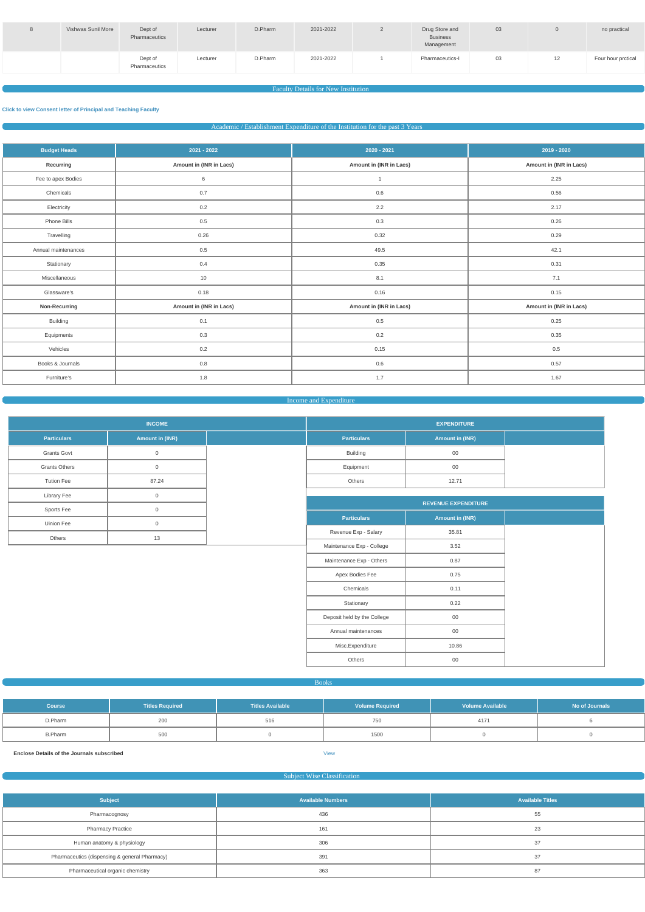| Vishwas Sunil More | Dept of<br>Pharmaceutics | Lecturer | D.Pharm | 2021-2022 | Drug Store and<br><b>Business</b><br>Management | 03 |    | no practical       |
|--------------------|--------------------------|----------|---------|-----------|-------------------------------------------------|----|----|--------------------|
|                    | Dept of<br>Pharmaceutics | Lecturer | D.Pharm | 2021-2022 | Pharmaceutics-I                                 | 03 | 14 | Four hour prctical |

## **Faculty Details for New Institution**

## **Click to view Consent letter of Principal and Teaching Faculty**

Academic / Establishment Expenditure of the Institution for the past 3 Years

| <b>Budget Heads</b> | 2021 - 2022             | $2020 - 2021$           | 2019 - 2020             |
|---------------------|-------------------------|-------------------------|-------------------------|
| Recurring           | Amount in (INR in Lacs) | Amount in (INR in Lacs) | Amount in (INR in Lacs) |
| Fee to apex Bodies  | 6                       | $\overline{1}$          | 2.25                    |
| Chemicals           | $0.7\,$                 | 0.6                     | 0.56                    |
| Electricity         | $0.2\,$                 | 2.2                     | 2.17                    |
| Phone Bills         | 0.5                     | $0.3\,$                 | 0.26                    |
| Travelling          | 0.26                    | 0.32                    | 0.29                    |
| Annual maintenances | $0.5\,$                 | 49.5                    | 42.1                    |
| Stationary          | 0.4                     | 0.35                    | 0.31                    |
| Miscellaneous       | 10                      | 8.1                     | 7.1                     |
| Glassware's         | 0.18                    | 0.16                    | 0.15                    |
| Non-Recurring       | Amount in (INR in Lacs) | Amount in (INR in Lacs) | Amount in (INR in Lacs) |
| <b>Building</b>     | 0.1                     | $0.5\,$                 | 0.25                    |
| Equipments          | 0.3                     | $0.2\,$                 | 0.35                    |
| Vehicles            | 0.2                     | 0.15                    | 0.5                     |
| Books & Journals    | $0.8\,$                 | 0.6                     | 0.57                    |
| Furniture's         | 1.8                     | 1.7                     | 1.67                    |

## Income and Expenditure

|                      | <b>INCOME</b>          |  |
|----------------------|------------------------|--|
| <b>Particulars</b>   | <b>Amount in (INR)</b> |  |
| <b>Grants Govt</b>   | $\Omega$               |  |
| <b>Grants Others</b> | $\Omega$               |  |
| <b>Tution Fee</b>    | 87.24                  |  |
| <b>Library Fee</b>   | ∩                      |  |
| Sports Fee           | ∩                      |  |
| Uinion Fee           | $\Omega$               |  |
| <b>Others</b>        | 13                     |  |

| <b>EXPENDITURE</b> |                        |  |  |  |  |
|--------------------|------------------------|--|--|--|--|
| <b>Particulars</b> | <b>Amount in (INR)</b> |  |  |  |  |
| <b>Building</b>    | 00                     |  |  |  |  |
| Equipment          | 00                     |  |  |  |  |
| <b>Others</b>      | 12.71                  |  |  |  |  |

|                             | <b>REVENUE EXPENDITURE</b> |  |
|-----------------------------|----------------------------|--|
| <b>Particulars</b>          | <b>Amount in (INR)</b>     |  |
| Revenue Exp - Salary        | 35.81                      |  |
| Maintenance Exp - College   | 3.52                       |  |
| Maintenance Exp - Others    | 0.87                       |  |
| Apex Bodies Fee             | 0.75                       |  |
| Chemicals                   | 0.11                       |  |
| Stationary                  | 0.22                       |  |
| Deposit held by the College | $00\,$                     |  |
| Annual maintenances         | $00\,$                     |  |
| Misc.Expenditure            | 10.86                      |  |
| Others                      | $00\,$                     |  |

| <b>Course</b>  | <b>Titles Required</b> | <b>Titles Available</b> | <b>Volume Required</b> | <b>Volume Available</b> | No of Journals |  |
|----------------|------------------------|-------------------------|------------------------|-------------------------|----------------|--|
| D.Pharm        | 200                    | 516                     | 750                    | 4171                    |                |  |
| <b>B.Pharm</b> | 500                    |                         | 1500                   |                         |                |  |

**Enclose Details of the Journals subscribed** View

## Subject Wise Classification

| <b>Subject</b>                                | <b>Available Numbers</b> | <b>Available Titles</b> |  |  |
|-----------------------------------------------|--------------------------|-------------------------|--|--|
| Pharmacognosy                                 | 436                      | 55                      |  |  |
| <b>Pharmacy Practice</b>                      | 161                      | 23                      |  |  |
| Human anatomy & physiology                    | 306                      | 37                      |  |  |
| Pharmaceutics (dispensing & general Pharmacy) | 391                      | 37                      |  |  |
| Pharmaceutical organic chemistry              | 363                      | 87                      |  |  |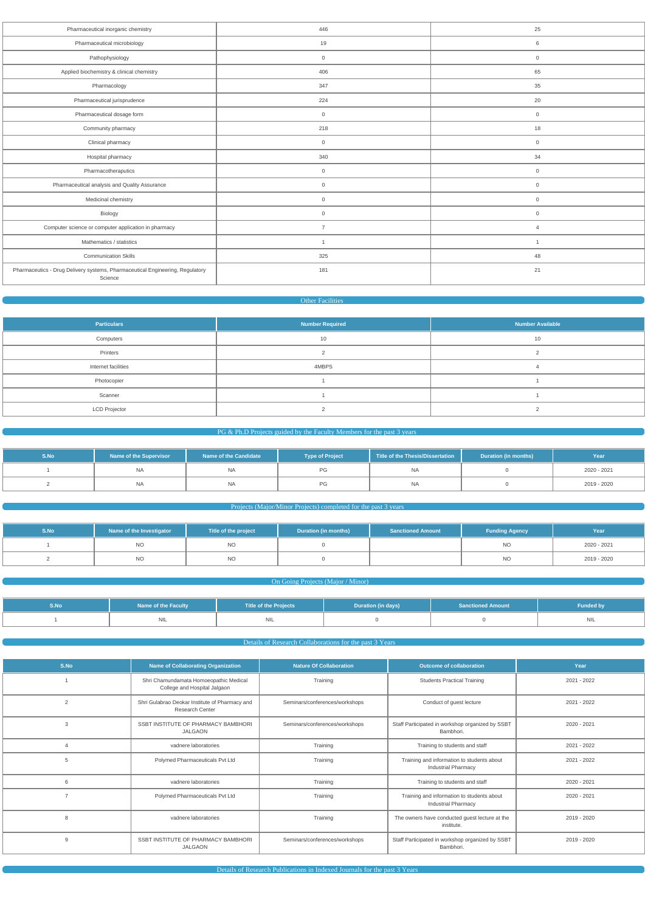| Pharmaceutical inorganic chemistry                                                       | 446            | 25             |
|------------------------------------------------------------------------------------------|----------------|----------------|
| Pharmaceutical microbiology                                                              | 19             | 6              |
| Pathophysiology                                                                          | $\overline{0}$ | $\overline{0}$ |
| Applied biochemistry & clinical chemistry                                                | 406            | 65             |
| Pharmacology                                                                             | 347            | 35             |
| Pharmaceutical jurisprudence                                                             | 224            | 20             |
| Pharmaceutical dosage form                                                               | $\overline{0}$ | $\overline{0}$ |
| Community pharmacy                                                                       | 218            | 18             |
| Clinical pharmacy                                                                        | $\overline{0}$ | $\overline{0}$ |
| Hospital pharmacy                                                                        | 340            | 34             |
| Pharmacotheraputics                                                                      | $\overline{0}$ | $\overline{0}$ |
| Pharmaceutical analysis and Quality Assurance                                            | $\overline{0}$ | $\overline{0}$ |
| Medicinal chemistry                                                                      | $\overline{0}$ | $\overline{0}$ |
| Biology                                                                                  | $\overline{0}$ | $\overline{0}$ |
| Computer science or computer application in pharmacy                                     | $\overline{7}$ | $\overline{4}$ |
| Mathematics / statistics                                                                 | $\overline{1}$ | $\overline{1}$ |
| <b>Communication Skills</b>                                                              | 325            | 48             |
| Pharmaceutics - Drug Delivery systems, Pharmaceutical Engineering, Regulatory<br>Science | 181            | 21             |
|                                                                                          |                |                |

#### Other Facilities

| <b>Particulars</b>   | Number Required | <b>Number Available</b> |
|----------------------|-----------------|-------------------------|
| Computers            | 10              | 10                      |
| Printers             |                 |                         |
| Internet facilities  | 4MBPS           |                         |
| Photocopier          |                 |                         |
| Scanner              |                 |                         |
| <b>LCD Projector</b> |                 |                         |

## PG & Ph.D Projects guided by the Faculty Members for the past 3 years

| S.No | Name of the Supervisor | Name of the Candidate | <b>Type of Project</b> | Title of the Thesis/Dissertation | Duration (in months) | Year        |
|------|------------------------|-----------------------|------------------------|----------------------------------|----------------------|-------------|
|      | NA                     | <b>NA</b>             |                        | <b>NA</b>                        |                      | 2020 - 2021 |
|      | NA                     | <b>NA</b>             | PG                     | <b>NA</b>                        |                      | 2019 - 2020 |

## Projects (Major/Minor Projects) completed for the past 3 years

| S.No | Name of the Investigator | Title of the project | <b>Duration (in months)</b> | <b>Sanctioned Amount</b> | <b>Funding Agency</b> | Year        |
|------|--------------------------|----------------------|-----------------------------|--------------------------|-----------------------|-------------|
|      | <b>NO</b>                | <b>NO</b>            |                             |                          | <b>NO</b>             | 2020 - 2021 |
|      | <b>NO</b>                | <b>NO</b>            |                             |                          | <b>NO</b>             | 2019 - 2020 |

## **Common Going Projects (Major / Minor)**

| S.No. | <b>Name of the Faculty</b> | <b>Title of the Projects</b> | Duration (in days) | <b>Sanctioned Amount</b> | <b>Funded by</b>     |
|-------|----------------------------|------------------------------|--------------------|--------------------------|----------------------|
|       | <b>INIL</b>                | <b>INIL</b>                  |                    |                          | $\mathbf{M}$<br>IVIL |

**Details of Research Collaborations for the past 3 Years** 

| S.No           | <b>Name of Collaborating Organization</b>                                | <b>Nature Of Collaboration</b> | <b>Outcome of collaboration</b>                                          | Year        |
|----------------|--------------------------------------------------------------------------|--------------------------------|--------------------------------------------------------------------------|-------------|
|                | Shri Chamundamata Homoeopathic Medical<br>College and Hospital Jalgaon   | Training                       | <b>Students Practical Training</b>                                       | 2021 - 2022 |
| $\overline{2}$ | Shri Gulabrao Deokar Institute of Pharmacy and<br><b>Research Center</b> | Seminars/conferences/workshops | Conduct of guest lecture                                                 | 2021 - 2022 |
| 3              | SSBT INSTITUTE OF PHARMACY BAMBHORI<br><b>JALGAON</b>                    | Seminars/conferences/workshops | Staff Participated in workshop organized by SSBT<br>Bambhori.            | 2020 - 2021 |
|                | vadnere laboratories                                                     | Training                       | Training to students and staff                                           | 2021 - 2022 |
| 5              | Polymed Pharmaceuticals Pvt Ltd                                          | Training                       | Training and information to students about<br><b>Industrial Pharmacy</b> | 2021 - 2022 |
| 6              | vadnere laboratories                                                     | Training                       | Training to students and staff                                           | 2020 - 2021 |
| $\overline{ }$ | Polymed Pharmaceuticals Pvt Ltd                                          | Training                       | Training and information to students about<br><b>Industrial Pharmacy</b> | 2020 - 2021 |
| 8              | vadnere laboratories                                                     | Training                       | The owners have conducted guest lecture at the<br>institute.             | 2019 - 2020 |
| 9              | SSBT INSTITUTE OF PHARMACY BAMBHORI<br><b>JALGAON</b>                    | Seminars/conferences/workshops | Staff Participated in workshop organized by SSBT<br>Bambhori.            | 2019 - 2020 |

Details of Research Publications in Indexed Journals for the past 3 Years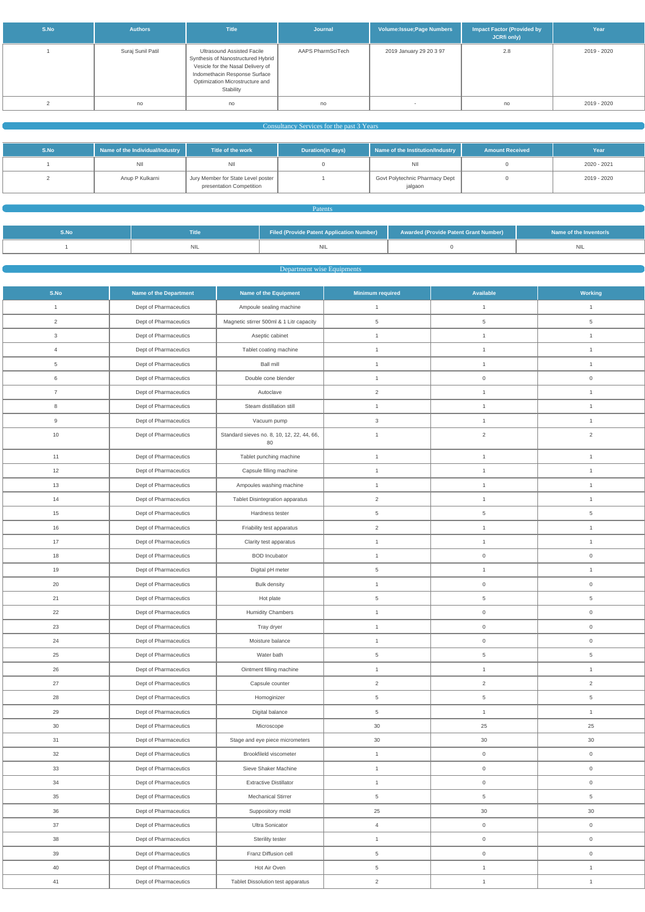| S.No | <b>Authors</b>    | <b>Title</b>                                                                                                                                                                           | Journal           | Volume: Issue; Page Numbers | <b>Impact Factor (Provided by</b><br>JCRfi only) | Year        |
|------|-------------------|----------------------------------------------------------------------------------------------------------------------------------------------------------------------------------------|-------------------|-----------------------------|--------------------------------------------------|-------------|
|      | Suraj Sunil Patil | Ultrasound Assisted Facile<br>Synthesis of Nanostructured Hybrid<br>Vesicle for the Nasal Delivery of<br>Indomethacin Response Surface<br>Optimization Microstructure and<br>Stability | AAPS PharmSciTech | 2019 January 29 20 3 97     | 2.8                                              | 2019 - 2020 |
|      | no                | no                                                                                                                                                                                     | no                | $\overline{\phantom{a}}$    | no                                               | 2019 - 2020 |

## **Consultancy Services for the past 3 Years Consultancy Services for the past 3 Years**

| S.No | Name of the Individual/Industry | Title of the work                                              | Duration(in days) | Name of the Institution/Industry          | <b>Amount Received</b> | Year        |
|------|---------------------------------|----------------------------------------------------------------|-------------------|-------------------------------------------|------------------------|-------------|
|      | NII                             | <b>NII</b>                                                     |                   | ΝIΙ                                       |                        | 2020 - 2021 |
|      | Anup P Kulkarni                 | Jury Member for State Level poster<br>presentation Competition |                   | Govt Polytechnic Pharmacy Dept<br>jalgaon |                        | 2019 - 2020 |

## **Patents** and the control of the control of the **Patents** and the control of the control of the control of the control of the control of the control of the control of the control of the control of the control of the contro

| S.No | Title | Filed (Provide Patent Application Number) | <b>Example 2 Awarded (Provide Patent Grant Number)</b> | Name of the Inventor/s |
|------|-------|-------------------------------------------|--------------------------------------------------------|------------------------|
|      |       |                                           |                                                        |                        |

## **Department wise Equipments**

| S.No            | <b>Name of the Department</b> | Name of the Equipment                            | <b>Minimum required</b>   | <b>Available</b>    | <b>Working</b>      |
|-----------------|-------------------------------|--------------------------------------------------|---------------------------|---------------------|---------------------|
| $\mathbf{1}$    | Dept of Pharmaceutics         | Ampoule sealing machine                          | $\mathbf{1}$              | $\mathbf{1}$        | $\mathbf{1}$        |
| $\overline{2}$  | Dept of Pharmaceutics         | Magnetic stirrer 500ml & 1 Litr capacity         | 5                         | 5                   | 5                   |
| $\mathbf{3}$    | Dept of Pharmaceutics         | Aseptic cabinet                                  | $\mathbf{1}$              | $\mathbf{1}$        | $\mathbf{1}$        |
| $\overline{4}$  | Dept of Pharmaceutics         | Tablet coating machine                           | $\mathbf{1}$              | $\mathbf{1}$        | $\mathbf{1}$        |
| $5\phantom{.0}$ | Dept of Pharmaceutics         | <b>Ball mill</b>                                 | $\mathbf{1}$              | $\mathbf{1}$        | $\mathbf{1}$        |
| $6\,$           | Dept of Pharmaceutics         | Double cone blender                              | $\overline{1}$            | $\mathsf 0$         | $\mathbf 0$         |
| $\overline{7}$  | Dept of Pharmaceutics         | Autoclave                                        | $\overline{2}$            | $\mathbf{1}$        | $\mathbf{1}$        |
| 8               | Dept of Pharmaceutics         | Steam distillation still                         | $\mathbf{1}$              | $\mathbf{1}$        | $\mathbf{1}$        |
| 9               | Dept of Pharmaceutics         | Vacuum pump                                      | $\ensuremath{\mathsf{3}}$ | $\mathbf{1}$        | $\mathbf{1}$        |
| $10$            | Dept of Pharmaceutics         | Standard sieves no. 8, 10, 12, 22, 44, 66,<br>80 | $\mathbf{1}$              | $\overline{2}$      | $\overline{2}$      |
| 11              | Dept of Pharmaceutics         | Tablet punching machine                          | $\mathbf{1}$              | $\mathbf{1}$        | $\mathbf{1}$        |
| 12              | Dept of Pharmaceutics         | Capsule filling machine                          | $\overline{1}$            | $\mathbf{1}$        | $\mathbf{1}$        |
| 13              | Dept of Pharmaceutics         | Ampoules washing machine                         | $\mathbf{1}$              | $\mathbf{1}$        | $\mathbf{1}$        |
| 14              | Dept of Pharmaceutics         | Tablet Disintegration apparatus                  | $\overline{2}$            | $\mathbf{1}$        | $\mathbf{1}$        |
| 15              | Dept of Pharmaceutics         | Hardness tester                                  | 5                         | 5                   | $5\phantom{.0}$     |
| 16              | Dept of Pharmaceutics         | Friability test apparatus                        | $\overline{2}$            | $\mathbf{1}$        | $\mathbf{1}$        |
| 17              | Dept of Pharmaceutics         | Clarity test apparatus                           | $\mathbf{1}$              | $\mathbf{1}$        | $\mathbf{1}$        |
| 18              | Dept of Pharmaceutics         | <b>BOD</b> Incubator                             | $\mathbf{1}$              | $\mathsf 0$         | $\overline{0}$      |
| 19              | Dept of Pharmaceutics         | Digital pH meter                                 | 5                         | $\mathbf{1}$        | $\mathbf{1}$        |
| 20              | Dept of Pharmaceutics         | <b>Bulk density</b>                              | $\mathbf{1}$              | $\mathsf{O}\xspace$ | $\mathsf{O}\xspace$ |
| 21              | Dept of Pharmaceutics         | Hot plate                                        | 5                         | $\,$ 5 $\,$         | $\overline{5}$      |
| 22              | Dept of Pharmaceutics         | <b>Humidity Chambers</b>                         | $\mathbf{1}$              | $\mathsf{O}\xspace$ | $\mathsf{O}\xspace$ |
| 23              | Dept of Pharmaceutics         | Tray dryer                                       | $\mathbf 1$               | $\overline{0}$      | 0                   |
| 24              | Dept of Pharmaceutics         | Moisture balance                                 | $\mathbf{1}$              | $\mathsf{O}\xspace$ | $\mathsf{O}\xspace$ |
| 25              | Dept of Pharmaceutics         | Water bath                                       | $\,$ 5 $\,$               | $5\phantom{.0}$     | $\overline{5}$      |
| 26              | Dept of Pharmaceutics         | Ointment filling machine                         | $\mathbf{1}$              | $\mathbf{1}$        | $\mathbf{1}$        |
| 27              | Dept of Pharmaceutics         | Capsule counter                                  | $\overline{2}$            | $\overline{2}$      | $\overline{2}$      |
| 28              | Dept of Pharmaceutics         | Homoginizer                                      | 5                         | $5\phantom{.0}$     | $5\phantom{.0}$     |
| 29              | Dept of Pharmaceutics         | Digital balance                                  | 5                         | $\mathbf{1}$        | $\mathbf{1}$        |
| $30\,$          | Dept of Pharmaceutics         | Microscope                                       | 30                        | 25                  | 25                  |
| 31              | Dept of Pharmaceutics         | Stage and eye piece micrometers                  | 30                        | 30                  | 30                  |
| $32\,$          | Dept of Pharmaceutics         | Brookfileld viscometer                           | $\mathbf{1}$              | $\mathsf{O}\xspace$ | $\mathsf{O}\xspace$ |
| 33              | Dept of Pharmaceutics         | Sieve Shaker Machine                             | $\mathbf{1}$              | $\mathsf{O}\xspace$ | $\mathsf{O}\xspace$ |
| 34              | Dept of Pharmaceutics         | <b>Extractive Distillator</b>                    | $\mathbf{1}$              | $\mathsf{O}\xspace$ | $\mathsf{O}\xspace$ |
| 35              | Dept of Pharmaceutics         | Mechanical Stirrer                               | 5                         | $5\phantom{.0}$     | 5                   |
| 36              | Dept of Pharmaceutics         | Suppository mold                                 | 25                        | 30                  | 30                  |
| 37              | Dept of Pharmaceutics         | Ultra Sonicator                                  | $\overline{4}$            | $\mathsf{O}\xspace$ | $\mathsf{O}\xspace$ |
| 38              | Dept of Pharmaceutics         | Sterility tester                                 | $\mathbf{1}$              | $\mathbf 0$         | $\mathsf{O}\xspace$ |
| 39              | Dept of Pharmaceutics         | Franz Diffusion cell                             | $\overline{5}$            | $\boldsymbol{0}$    | $\mathsf{O}\xspace$ |
| 40              | Dept of Pharmaceutics         | Hot Air Oven                                     | 5                         | $\mathbf{1}$        | $\mathbf{1}$        |
| 41              | Dept of Pharmaceutics         | Tablet Dissolution test apparatus                | $\sqrt{2}$                | $\mathbf{1}$        | $\mathbf{1}$        |
|                 |                               |                                                  |                           |                     |                     |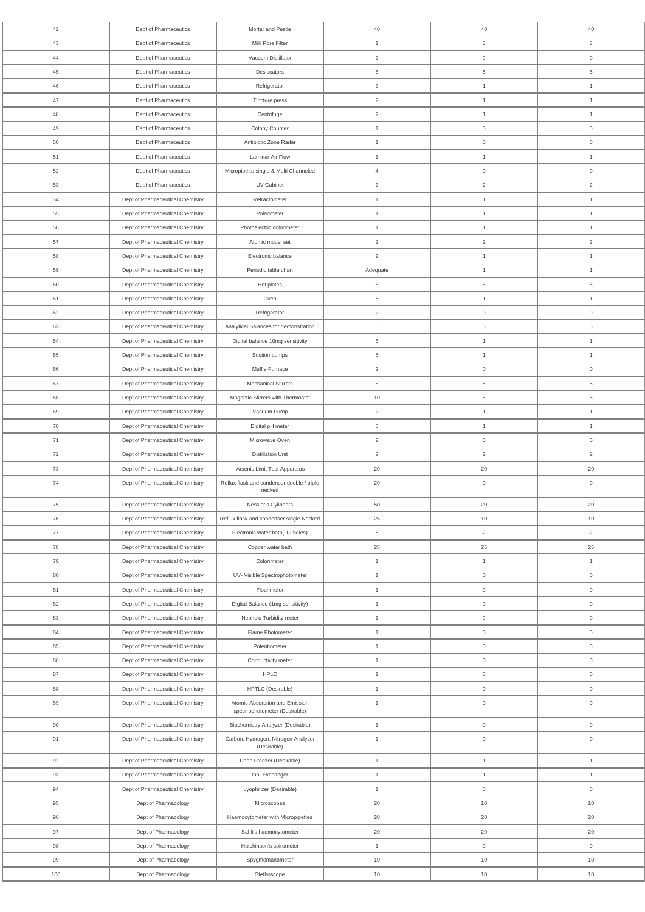| 42  | Dept of Pharmaceutics            | Mortar and Pestle                                    | 40                  | 40                                | 40                  |
|-----|----------------------------------|------------------------------------------------------|---------------------|-----------------------------------|---------------------|
| 43  | Dept of Pharmaceutics            | Milli Pore Filter                                    | $\mathbf{1}$        | 3                                 | 3                   |
| 44  | Dept of Pharmaceutics            | Vacuum Distillator                                   | $\overline{2}$      | $\mathsf{O}\xspace$               | $\mathsf 0$         |
| 45  | Dept of Pharmaceutics            | Desiccators                                          | 5                   | $5\phantom{.0}$                   | $\overline{5}$      |
| 46  | Dept of Pharmaceutics            | Refrigerator                                         | 2                   | $\mathbf{1}$                      | $\overline{1}$      |
| 47  | Dept of Pharmaceutics            | Tincture press                                       | $\overline{2}$      | $\mathbf{1}$                      | $\overline{1}$      |
| 48  | Dept of Pharmaceutics            | Centrifuge                                           | 2                   | $\mathbf{1}$                      | $\overline{1}$      |
| 49  | Dept of Pharmaceutics            | Colony Counter                                       | $\mathbf{1}$        | $\mathsf 0$                       | $\mathbb O$         |
| 50  | Dept of Pharmaceutics            | Antibiotic Zone Rader                                | $\mathbf{1}$        | $\mathsf{O}\xspace$               | $\mathbf 0$         |
| 51  | Dept of Pharmaceutics            | Laminar Air Flow                                     | $\mathbf{1}$        | $\mathbf{1}$                      | $\overline{1}$      |
| 52  | Dept of Pharmaceutics            | Micropipette single & Multi Channeled                | $\overline{4}$      | $\overline{0}$                    | $\mathbf 0$         |
| 53  | Dept of Pharmaceutics            | UV Cabinet                                           | 2                   | $\overline{2}$                    | 2                   |
| 54  | Dept of Pharmaceutical Chemistry | Refractometer                                        | $\mathbf{1}$        | $\mathbf{1}$                      | $\overline{1}$      |
| 55  | Dept of Pharmaceutical Chemistry | Polarimeter                                          | $\mathbf{1}$        | $\mathbf{1}$                      | $\overline{1}$      |
| 56  | Dept of Pharmaceutical Chemistry | Photoelectric colorimeter                            | $\mathbf{1}$        | $\mathbf{1}$                      | $\mathbf{1}$        |
| 57  | Dept of Pharmaceutical Chemistry | Atomic model set                                     | 2                   | $\overline{2}$                    | 2                   |
| 58  | Dept of Pharmaceutical Chemistry | Electronic balance                                   | 2                   | $\mathbf{1}$                      | $\mathbf{1}$        |
| 59  | Dept of Pharmaceutical Chemistry | Periodic table chart                                 | Adequate            | $\mathbf{1}$                      | $\overline{1}$      |
| 60  | Dept of Pharmaceutical Chemistry | Hot plates                                           | 8                   | 8                                 | 8                   |
| 61  | Dept of Pharmaceutical Chemistry | Oven                                                 | 5                   | $\mathbf{1}$                      | $\overline{1}$      |
| 62  | Dept of Pharmaceutical Chemistry | Refrigerator                                         | $\overline{2}$      | $\mathsf{O}\xspace$               | $\mathbf 0$         |
| 63  |                                  |                                                      |                     |                                   | $5\phantom{.0}$     |
| 64  | Dept of Pharmaceutical Chemistry | Analytical Balances for demonstration                | $\overline{5}$<br>5 | $5\phantom{.0}$<br>$\overline{1}$ | $\overline{1}$      |
|     | Dept of Pharmaceutical Chemistry | Digital balance 10mg sensitivity                     |                     |                                   |                     |
| 65  | Dept of Pharmaceutical Chemistry | Suction pumps                                        | 5                   | $\mathbf{1}$                      | $\mathbf{1}$        |
| 66  | Dept of Pharmaceutical Chemistry | Muffle Furnace                                       | 2                   | $\mathbf 0$                       | $\mathbf 0$         |
| 67  | Dept of Pharmaceutical Chemistry | <b>Mechanical Stirrers</b>                           | 5                   | $5\phantom{.0}$                   | $\overline{5}$      |
| 68  | Dept of Pharmaceutical Chemistry | Magnetic Stirrers with Thermostat                    | $10$                | $\,$ 5 $\,$                       | $\overline{5}$      |
| 69  | Dept of Pharmaceutical Chemistry | Vacuum Pump                                          | 2                   | $\mathbf{1}$                      | $\mathbf{1}$        |
| 70  | Dept of Pharmaceutical Chemistry | Digital pH meter                                     | $\overline{5}$      | $\mathbf{1}$                      | $\mathbf{1}$        |
| 71  | Dept of Pharmaceutical Chemistry | Microwave Oven                                       | $\overline{2}$      | $\mathsf{O}\xspace$               | $\mathsf 0$         |
| 72  | Dept of Pharmaceutical Chemistry | <b>Distillation Unit</b>                             | 2                   | $\overline{2}$                    | $\overline{2}$      |
| 73  | Dept of Pharmaceutical Chemistry | Arsenic Limit Test Apparatus                         | 20                  | 20                                | 20                  |
| 74  | Dept of Pharmaceutical Chemistry | Reflux flask and condenser double / triple<br>necked | 20                  | $\mathsf{O}\xspace$               | $\mathsf 0$         |
| 75  | Dept of Pharmaceutical Chemistry | Nessler's Cylinders                                  | 50                  | 20                                | 20                  |
| 76  | Dept of Pharmaceutical Chemistry | Reflux flask and condenser single Necked             | 25                  | 10                                | 10                  |
| 77  | Dept of Pharmaceutical Chemistry | Electronic water bath(12 holes)                      | $\overline{5}$      | $\overline{2}$                    | $\overline{2}$      |
| 78  | Dept of Pharmaceutical Chemistry | Copper water bath                                    | 25                  | 25                                | 25                  |
| 79  | Dept of Pharmaceutical Chemistry | Colorimeter                                          | $\mathbf{1}$        | $\mathbf{1}$                      | $\mathbf{1}$        |
| 80  | Dept of Pharmaceutical Chemistry | UV- Visible Spectrophotometer                        | $\mathbf{1}$        | $\mathbf 0$                       | $\boldsymbol{0}$    |
| 81  | Dept of Pharmaceutical Chemistry | Flourimeter                                          | $\mathbf{1}$        | $\mathsf{O}\xspace$               | $\mathsf 0$         |
| 82  | Dept of Pharmaceutical Chemistry | Digital Balance (1mg sensitivity)                    | $\mathbf{1}$        | $\mathsf{O}\xspace$               | $\mathsf 0$         |
| 83  | Dept of Pharmaceutical Chemistry | Nephelo Turbidity meter                              | $\mathbf{1}$        | $\mathsf 0$                       | $\mathbb O$         |
| 84  | Dept of Pharmaceutical Chemistry | Flame Photometer                                     | $\mathbf{1}$        | $\mathsf{O}\xspace$               | $\mathsf 0$         |
| 85  | Dept of Pharmaceutical Chemistry | Potentiometer                                        | $\mathbf{1}$        | $\mathbf 0$                       | $\mathbb O$         |
| 86  | Dept of Pharmaceutical Chemistry | Conductivity meter                                   | $\mathbf{1}$        | $\overline{0}$                    | $\boldsymbol{0}$    |
| 87  | Dept of Pharmaceutical Chemistry | <b>HPLC</b>                                          | $\mathbf{1}$        | $\mathsf{O}\xspace$               | $\mathsf 0$         |
| 88  | Dept of Pharmaceutical Chemistry | HPTLC (Desirable)                                    | $\mathbf{1}$        | $\mathsf{O}\xspace$               | $\mathbf 0$         |
| 89  | Dept of Pharmaceutical Chemistry | Atomic Absorption and Emission                       | $\mathbf{1}$        | $\overline{0}$                    | $\mathsf{O}\xspace$ |
|     |                                  | spectrophotometer (Desirable)                        |                     |                                   |                     |
| 90  | Dept of Pharmaceutical Chemistry | <b>Biochemistry Analyzer (Desirable)</b>             | $\mathbf{1}$        | $\mathsf{O}\xspace$               | $\boldsymbol{0}$    |
| 91  | Dept of Pharmaceutical Chemistry | Carbon, Hydrogen, Nitrogen Analyzer<br>(Desirable)   | $\mathbf{1}$        | $\mathbf 0$                       | $\mathsf 0$         |
| 92  | Dept of Pharmaceutical Chemistry | Deep Freezer (Desirable)                             | $\mathbf{1}$        | $\mathbf{1}$                      | $\mathbf{1}$        |
| 93  | Dept of Pharmaceutical Chemistry | Ion-Exchanger                                        | $\mathbf{1}$        | $\mathbf{1}$                      | $\mathbf{1}$        |
| 94  | Dept of Pharmaceutical Chemistry | Lyophilizer (Desirable)                              | $\mathbf{1}$        | $\mathsf{O}\xspace$               | $\mathbf 0$         |
| 95  | Dept of Pharmacology             | Microscopes                                          | 20                  | 10                                | 10                  |
| 96  | Dept of Pharmacology             | Haemocytometer with Micropipettes                    | 20                  | 20                                | 20                  |
| 97  | Dept of Pharmacology             | Sahli's haemocytometer                               | 20                  | 20                                | 20                  |
| 98  | Dept of Pharmacology             | Hutchinson's spirometer                              | $\mathbf{1}$        | $\mathsf{O}\xspace$               | $\mathsf{O}\xspace$ |
|     |                                  |                                                      |                     |                                   |                     |
| 99  | Dept of Pharmacology             | Spygmomanometer                                      | 10                  | 10                                | 10                  |
| 100 | Dept of Pharmacology             | Stethoscope                                          | 10                  | 10                                | $10$                |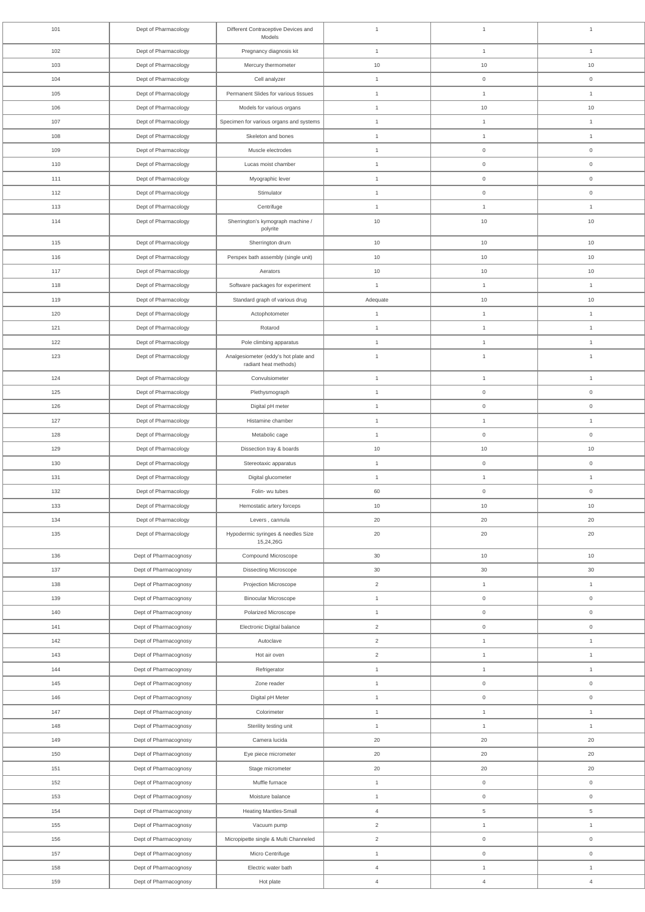| 101 | Dept of Pharmacology  | Different Contraceptive Devices and<br>Models                 | $\overline{1}$ | $\mathbf{1}$        | $\mathbf{1}$        |
|-----|-----------------------|---------------------------------------------------------------|----------------|---------------------|---------------------|
| 102 | Dept of Pharmacology  | Pregnancy diagnosis kit                                       | $\mathbf{1}$   | $\mathbf{1}$        | $\mathbf{1}$        |
| 103 | Dept of Pharmacology  | Mercury thermometer                                           | 10             | 10                  | 10                  |
| 104 | Dept of Pharmacology  | Cell analyzer                                                 | $\mathbf{1}$   | $\mathsf 0$         | $\mathsf 0$         |
| 105 | Dept of Pharmacology  | Permanent Slides for various tissues                          | $\mathbf{1}$   | $\mathbf{1}$        | $\mathbf{1}$        |
| 106 | Dept of Pharmacology  | Models for various organs                                     | $\mathbf{1}$   | 10                  | 10                  |
| 107 | Dept of Pharmacology  | Specimen for various organs and systems                       | $\mathbf{1}$   | $\mathbf{1}$        | $\mathbf{1}$        |
| 108 | Dept of Pharmacology  | Skeleton and bones                                            | $\mathbf{1}$   | $\mathbf{1}$        | $\mathbf{1}$        |
| 109 | Dept of Pharmacology  | Muscle electrodes                                             | $\mathbf{1}$   | $\mathsf{O}\xspace$ | $\mathsf{O}\xspace$ |
| 110 | Dept of Pharmacology  | Lucas moist chamber                                           | $\mathbf{1}$   | $\boldsymbol{0}$    | $\boldsymbol{0}$    |
| 111 | Dept of Pharmacology  | Myographic lever                                              | $\mathbf{1}$   | $\mathbf 0$         | $\mathsf{O}\xspace$ |
| 112 | Dept of Pharmacology  | Stimulator                                                    | $\mathbf{1}$   | $\mathbf 0$         | $\mathsf{O}\xspace$ |
| 113 | Dept of Pharmacology  | Centrifuge                                                    | $\mathbf{1}$   | $\mathbf{1}$        | $\mathbf{1}$        |
| 114 | Dept of Pharmacology  | Sherrington's kymograph machine /<br>polyrite                 | 10             | 10                  | 10                  |
| 115 | Dept of Pharmacology  | Sherrington drum                                              | 10             | 10                  | 10                  |
| 116 | Dept of Pharmacology  | Perspex bath assembly (single unit)                           | 10             | 10                  | 10                  |
| 117 | Dept of Pharmacology  | Aerators                                                      | 10             | 10                  | 10                  |
| 118 | Dept of Pharmacology  | Software packages for experiment                              | $\mathbf{1}$   | $\mathbf{1}$        | $\mathbf{1}$        |
| 119 | Dept of Pharmacology  | Standard graph of various drug                                | Adequate       | 10                  | 10                  |
| 120 | Dept of Pharmacology  | Actophotometer                                                | $\mathbf{1}$   | $\mathbf{1}$        | $\mathbf{1}$        |
| 121 | Dept of Pharmacology  | Rotarod                                                       | $\mathbf{1}$   | $\mathbf{1}$        | $\mathbf{1}$        |
| 122 | Dept of Pharmacology  | Pole climbing apparatus                                       | $\mathbf{1}$   | $\mathbf{1}$        | $\mathbf{1}$        |
| 123 | Dept of Pharmacology  | Analgesiometer (eddy's hot plate and<br>radiant heat methods) | $\mathbf{1}$   | $\mathbf{1}$        | $\mathbf{1}$        |
| 124 | Dept of Pharmacology  | Convulsiometer                                                | $\mathbf{1}$   | $\mathbf{1}$        | $\mathbf{1}$        |
| 125 | Dept of Pharmacology  | Plethysmograph                                                | $\mathbf{1}$   | $\mathsf{O}\xspace$ | $\mathsf{O}\xspace$ |
| 126 | Dept of Pharmacology  | Digital pH meter                                              | $\mathbf{1}$   | $\mathsf{O}\xspace$ | $\mathsf{O}\xspace$ |
| 127 | Dept of Pharmacology  | Histamine chamber                                             | $\mathbf{1}$   | $\mathbf{1}$        | $\mathbf{1}$        |
| 128 | Dept of Pharmacology  | Metabolic cage                                                | $\mathbf{1}$   | $\mathsf{O}\xspace$ | $\mathsf{O}\xspace$ |
| 129 | Dept of Pharmacology  | Dissection tray & boards                                      | $10$           | 10                  | $10$                |
| 130 | Dept of Pharmacology  | Stereotaxic apparatus                                         | $\mathbf{1}$   | $\mathsf{O}\xspace$ | $\boldsymbol{0}$    |
| 131 | Dept of Pharmacology  | Digital glucometer                                            | $\mathbf{1}$   | $\mathbf{1}$        | $\mathbf{1}$        |
| 132 | Dept of Pharmacology  | Folin- wu tubes                                               | 60             | $\mathsf{O}\xspace$ | $\mathsf{O}\xspace$ |
| 133 | Dept of Pharmacology  | Hemostatic artery forceps                                     | 10             | 10                  | 10                  |
| 134 | Dept of Pharmacology  | Levers, cannula                                               | 20             | 20                  | 20                  |
| 135 | Dept of Pharmacology  | Hypodermic syringes & needles Size<br>15,24,26G               | 20             | 20                  | 20                  |
| 136 | Dept of Pharmacognosy | Compound Microscope                                           | 30             | 10                  | $10$                |
| 137 | Dept of Pharmacognosy | <b>Dissecting Microscope</b>                                  | 30             | 30                  | 30                  |
| 138 | Dept of Pharmacognosy | Projection Microscope                                         | $\overline{2}$ | $\mathbf{1}$        | $\mathbf{1}$        |
| 139 | Dept of Pharmacognosy | <b>Binocular Microscope</b>                                   | $\mathbf{1}$   | $\mathsf{O}\xspace$ | $\mathsf{O}\xspace$ |
| 140 | Dept of Pharmacognosy | Polarized Microscope                                          | $\mathbf{1}$   | $\mathbf 0$         | $\mathsf{O}\xspace$ |
| 141 | Dept of Pharmacognosy | Electronic Digital balance                                    | $\overline{2}$ | $\mathsf{O}\xspace$ | $\mathsf{O}\xspace$ |
| 142 | Dept of Pharmacognosy | Autoclave                                                     | $\overline{2}$ | $\mathbf{1}$        | $\mathbf{1}$        |
| 143 | Dept of Pharmacognosy | Hot air oven                                                  | $\overline{2}$ | $\mathbf{1}$        | $\mathbf{1}$        |
| 144 | Dept of Pharmacognosy | Refrigerator                                                  | $\mathbf{1}$   | $\mathbf{1}$        | $\mathbf{1}$        |
| 145 | Dept of Pharmacognosy | Zone reader                                                   | $\mathbf{1}$   | $\mathsf{O}\xspace$ | $\mathsf{O}\xspace$ |
| 146 | Dept of Pharmacognosy | Digital pH Meter                                              | $\mathbf{1}$   | $\boldsymbol{0}$    | $\boldsymbol{0}$    |
| 147 | Dept of Pharmacognosy | Colorimeter                                                   | $\mathbf{1}$   | $\mathbf{1}$        | $\mathbf{1}$        |
| 148 | Dept of Pharmacognosy | Sterility testing unit                                        | $\mathbf{1}$   | $\mathbf{1}$        | $\mathbf{1}$        |
| 149 | Dept of Pharmacognosy | Camera lucida                                                 | $20\,$         | $20\,$              | 20                  |
| 150 | Dept of Pharmacognosy | Eye piece micrometer                                          | 20             | $20\,$              | 20                  |
| 151 | Dept of Pharmacognosy | Stage micrometer                                              | 20             | $20\,$              | 20                  |
| 152 | Dept of Pharmacognosy | Muffle furnace                                                | $\mathbf{1}$   | $\mathsf{O}\xspace$ | $\boldsymbol{0}$    |
| 153 | Dept of Pharmacognosy | Moisture balance                                              | $\mathbf{1}$   | $\mathsf{O}\xspace$ | $\mathsf{O}\xspace$ |
| 154 | Dept of Pharmacognosy | <b>Heating Mantles-Small</b>                                  | $\overline{4}$ | $5\phantom{.0}$     | $\,$ 5 $\,$         |
| 155 | Dept of Pharmacognosy | Vacuum pump                                                   | $\overline{c}$ | $\mathbf{1}$        | $\mathbf{1}$        |
| 156 | Dept of Pharmacognosy | Micropipette single & Multi Channeled                         | $\sqrt{2}$     | $\mathsf{O}\xspace$ | $\mathsf{O}\xspace$ |
| 157 | Dept of Pharmacognosy | Micro Centrifuge                                              | $\mathbf{1}$   | $\mathsf{O}\xspace$ | $\mathsf{O}\xspace$ |
| 158 | Dept of Pharmacognosy | Electric water bath                                           | $\overline{4}$ | $\mathbf{1}$        | $\mathbf{1}$        |
| 159 | Dept of Pharmacognosy | Hot plate                                                     | $\overline{4}$ | $\overline{4}$      | $\overline{4}$      |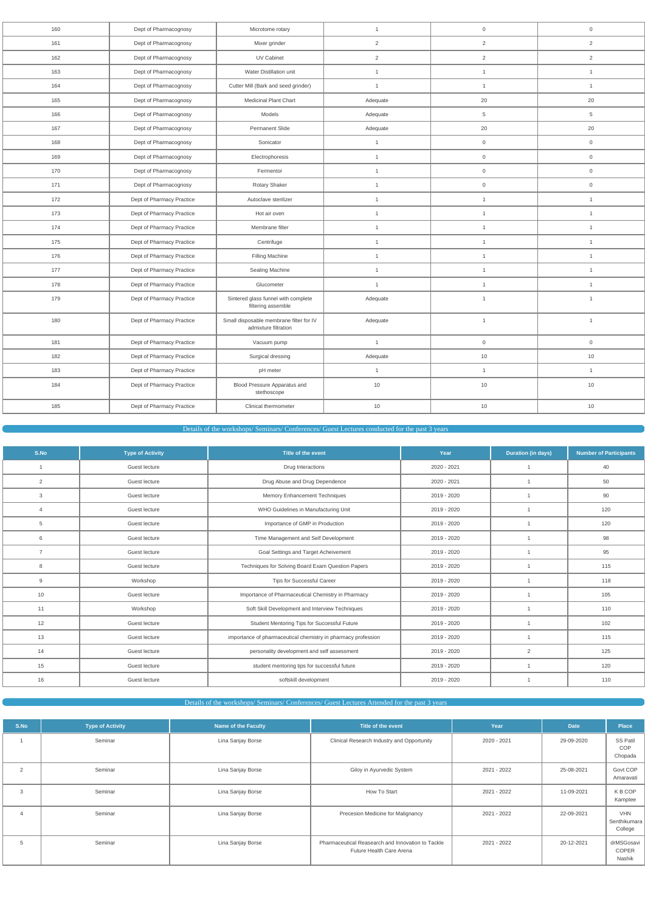| 160 | Dept of Pharmacognosy     | Microtome rotary                                                | $\mathbf{1}$   | $\mathsf{O}\xspace$ | $\mathsf{O}\xspace$ |
|-----|---------------------------|-----------------------------------------------------------------|----------------|---------------------|---------------------|
| 161 | Dept of Pharmacognosy     | Mixer grinder                                                   | $\overline{2}$ | $\overline{2}$      | $\sqrt{2}$          |
| 162 | Dept of Pharmacognosy     | UV Cabinet                                                      | $\overline{2}$ | $\overline{2}$      | 2                   |
| 163 | Dept of Pharmacognosy     | Water Distillation unit                                         | $\mathbf{1}$   | $\mathbf{1}$        | $\mathbf{1}$        |
| 164 | Dept of Pharmacognosy     | Cutter Mill (Bark and seed grinder)                             | $\mathbf{1}$   | $\mathbf{1}$        | $\mathbf{1}$        |
| 165 | Dept of Pharmacognosy     | Medicinal Plant Chart                                           | Adequate       | 20                  | 20                  |
| 166 | Dept of Pharmacognosy     | Models                                                          | Adequate       | 5                   | 5                   |
| 167 | Dept of Pharmacognosy     | Permanent Slide                                                 | Adequate       | 20                  | 20                  |
| 168 | Dept of Pharmacognosy     | Sonicator                                                       | $\mathbf{1}$   | $\mathsf{O}\xspace$ | $\mathsf{O}\xspace$ |
| 169 | Dept of Pharmacognosy     | Electrophoresis                                                 | $\mathbf{1}$   | $\mathsf{O}\xspace$ | $\mathsf{O}\xspace$ |
| 170 | Dept of Pharmacognosy     | Fermentor                                                       | $\mathbf{1}$   | $\mathsf{O}\xspace$ | $\mathsf{O}\xspace$ |
| 171 | Dept of Pharmacognosy     | Rotary Shaker                                                   | $\mathbf{1}$   | $\mathsf{O}\xspace$ | $\mathsf{O}\xspace$ |
| 172 | Dept of Pharmacy Practice | Autoclave sterilizer                                            | $\mathbf{1}$   | $\mathbf{1}$        | $\mathbf{1}$        |
| 173 | Dept of Pharmacy Practice | Hot air oven                                                    | $\mathbf{1}$   | $\mathbf{1}$        | $\mathbf{1}$        |
| 174 | Dept of Pharmacy Practice | Membrane filter                                                 | $\mathbf{1}$   | $\mathbf{1}$        | $\mathbf{1}$        |
| 175 | Dept of Pharmacy Practice | Centrifuge                                                      | $\mathbf{1}$   | $\mathbf{1}$        | $\mathbf{1}$        |
| 176 | Dept of Pharmacy Practice | Filling Machine                                                 | $\mathbf{1}$   | $\mathbf{1}$        | $\mathbf{1}$        |
| 177 | Dept of Pharmacy Practice | Sealing Machine                                                 | $\mathbf{1}$   | $\mathbf{1}$        | $\mathbf{1}$        |
| 178 | Dept of Pharmacy Practice | Glucometer                                                      | $\mathbf{1}$   | $\mathbf{1}$        | $\mathbf{1}$        |
| 179 | Dept of Pharmacy Practice | Sintered glass funnel with complete<br>filtering assemble       | Adequate       | $\mathbf{1}$        | $\mathbf{1}$        |
| 180 | Dept of Pharmacy Practice | Small disposable membrane filter for IV<br>admixture filtration | Adequate       | $\mathbf{1}$        | $\mathbf{1}$        |
| 181 | Dept of Pharmacy Practice | Vacuum pump                                                     | $\mathbf{1}$   | $\mathsf{O}\xspace$ | $\mathbf 0$         |
| 182 | Dept of Pharmacy Practice | Surgical dressing                                               | Adequate       | 10                  | 10                  |
| 183 | Dept of Pharmacy Practice | pH meter                                                        | $\mathbf{1}$   | $\mathbf{1}$        | $\mathbf{1}$        |
| 184 | Dept of Pharmacy Practice | Blood Pressure Apparatus and<br>stethoscope                     | $10$           | $10$                | 10                  |
| 185 | Dept of Pharmacy Practice | Clinical thermometer                                            | $10$           | $10$                | $10$                |
|     |                           |                                                                 |                |                     |                     |

Details of the workshops/ Seminars/ Conferences/ Guest Lectures conducted for the past 3 years

| S.No           | <b>Type of Activity</b> | Title of the event                                            | Year        | <b>Duration (in days)</b> | <b>Number of Participants</b> |
|----------------|-------------------------|---------------------------------------------------------------|-------------|---------------------------|-------------------------------|
|                | Guest lecture           | Drug Interactions                                             | 2020 - 2021 |                           | 40                            |
| 2              | Guest lecture           | Drug Abuse and Drug Dependence                                | 2020 - 2021 |                           | 50                            |
| 3              | Guest lecture           | Memory Enhancement Techniques                                 | 2019 - 2020 |                           | 90                            |
| $\overline{4}$ | Guest lecture           | WHO Guidelines in Manufacturing Unit                          | 2019 - 2020 |                           | 120                           |
| 5              | Guest lecture           | Importance of GMP in Production                               | 2019 - 2020 |                           | 120                           |
| 6              | Guest lecture           | Time Management and Self Development                          | 2019 - 2020 |                           | 98                            |
| $\overline{7}$ | Guest lecture           | Goal Settings and Target Acheivement                          | 2019 - 2020 |                           | 95                            |
| 8              | Guest lecture           | Techniques for Solving Board Exam Question Papers             | 2019 - 2020 |                           | 115                           |
| 9              | Workshop                | <b>Tips for Successful Career</b>                             | 2019 - 2020 |                           | 118                           |
| 10             | Guest lecture           | Importance of Pharmaceutical Chemistry in Pharmacy            | 2019 - 2020 |                           | 105                           |
| 11             | Workshop                | Soft Skill Development and Interview Techniques               | 2019 - 2020 | $\overline{1}$            | 110                           |
| 12             | Guest lecture           | Student Mentoring Tips for Successful Future                  | 2019 - 2020 | -1                        | 102                           |
| 13             | Guest lecture           | importance of pharmaceutical chemistry in pharmacy profession | 2019 - 2020 | -1                        | 115                           |
| 14             | Guest lecture           | personality development and self assessment                   | 2019 - 2020 | 2                         | 125                           |
| 15             | Guest lecture           | student mentoring tips for successful future                  | 2019 - 2020 |                           | 120                           |
| 16             | Guest lecture           | softskill development                                         | 2019 - 2020 |                           | 110                           |

| S.No | <b>Type of Activity</b> | <b>Name of the Faculty</b> | Title of the event                                                            | Year        | <b>Date</b> | <b>Place</b>                          |
|------|-------------------------|----------------------------|-------------------------------------------------------------------------------|-------------|-------------|---------------------------------------|
|      | Seminar                 | Lina Sanjay Borse          | Clinical Research Industry and Opportunity                                    | 2020 - 2021 | 29-09-2020  | <b>SS Patil</b><br>COP<br>Chopada     |
| 2    | Seminar                 | Lina Sanjay Borse          | Giloy in Ayurvedic System                                                     | 2021 - 2022 | 25-08-2021  | Govt COP<br>Amaravati                 |
| 3    | Seminar                 | Lina Sanjay Borse          | How To Start                                                                  | 2021 - 2022 | 11-09-2021  | K B COP<br>Kamptee                    |
| 4    | Seminar                 | Lina Sanjay Borse          | Precesion Medicine for Malignancy                                             | 2021 - 2022 | 22-09-2021  | <b>VHN</b><br>Senthikumara<br>College |
| 5    | Seminar                 | Lina Sanjay Borse          | Pharmaceutical Reasearch and Innovation to Tackle<br>Future Health Care Arena | 2021 - 2022 | 20-12-2021  | drMSGosavi<br><b>COPER</b><br>Nashik  |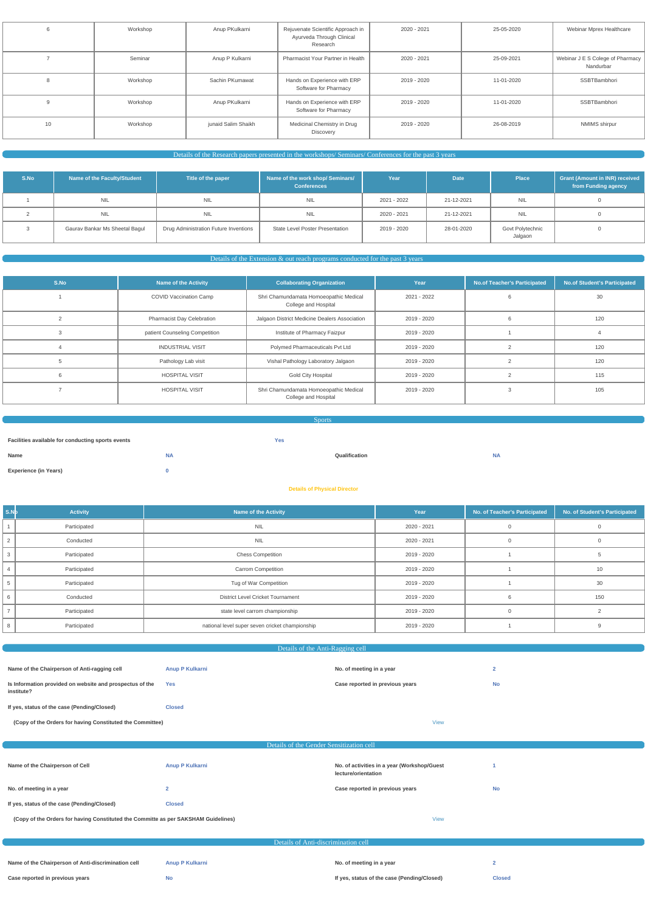|    | Workshop | Anup PKulkarni      | Rejuvenate Scientific Approach in<br>Ayurveda Through Clinical<br>Research | 2020 - 2021 | 25-05-2020 | Webinar Mprex Healthcare                      |
|----|----------|---------------------|----------------------------------------------------------------------------|-------------|------------|-----------------------------------------------|
|    | Seminar  | Anup P Kulkarni     | Pharmacist Your Partner in Health                                          | 2020 - 2021 | 25-09-2021 | Webinar J E S Colege of Pharmacy<br>Nandurbar |
|    | Workshop | Sachin PKumawat     | Hands on Experience with ERP<br>Software for Pharmacy                      | 2019 - 2020 | 11-01-2020 | SSBTBambhori                                  |
|    | Workshop | Anup PKulkarni      | Hands on Experience with ERP<br>Software for Pharmacy                      | 2019 - 2020 | 11-01-2020 | SSBTBambhori                                  |
| 10 | Workshop | junaid Salim Shaikh | Medicinal Chemistry in Drug<br>Discovery                                   | 2019 - 2020 | 26-08-2019 | NMIMS shirpur                                 |

Details of the Research papers presented in the workshops/ Seminars/ Conferences for the past 3 years

| S.No | Name of the Faculty/Student    | Title of the paper                    | Name of the work shop/ Seminars/<br><b>Conferences</b> | Year        | <b>Date</b> | <b>Place</b>                | <b>Grant (Amount in INR) received</b><br>from Funding agency |
|------|--------------------------------|---------------------------------------|--------------------------------------------------------|-------------|-------------|-----------------------------|--------------------------------------------------------------|
|      | <b>NIL</b>                     | NIL                                   | <b>NIL</b>                                             | 2021 - 2022 | 21-12-2021  | <b>NIL</b>                  |                                                              |
|      | <b>NIL</b>                     | NIL                                   | <b>NIL</b>                                             | 2020 - 2021 | 21-12-2021  | <b>NIL</b>                  |                                                              |
|      | Gaurav Bankar Ms Sheetal Bagul | Drug Administration Future Inventions | <b>State Level Poster Presentation</b>                 | 2019 - 2020 | 28-01-2020  | Govt Polytechnic<br>Jalgaon |                                                              |

| <b>Sports</b>                                     |           |            |               |           |  |
|---------------------------------------------------|-----------|------------|---------------|-----------|--|
|                                                   |           |            |               |           |  |
| Facilities available for conducting sports events |           | <b>Yes</b> |               |           |  |
| Name                                              | <b>NA</b> |            | Qualification | <b>NA</b> |  |
| <b>Experience (in Years)</b>                      |           |            |               |           |  |

Details of the Extension & out reach programs conducted for the past 3 years

| S.No | <b>Name of the Activity</b>       | <b>Collaborating Organization</b>                              | Year        | No.of Teacher's Participated | No.of Student's Participated |
|------|-----------------------------------|----------------------------------------------------------------|-------------|------------------------------|------------------------------|
|      | <b>COVID Vaccination Camp</b>     | Shri Chamundamata Homoeopathic Medical<br>College and Hospital | 2021 - 2022 |                              | 30                           |
|      | <b>Pharmacist Day Celebration</b> | Jalgaon District Medicine Dealers Association                  | 2019 - 2020 |                              | 120                          |
| 3    | patient Counseling Competition    | Institute of Pharmacy Faizpur                                  | 2019 - 2020 |                              |                              |
|      | <b>INDUSTRIAL VISIT</b>           | Polymed Pharmaceuticals Pvt Ltd                                | 2019 - 2020 |                              | 120                          |
| 5    | Pathology Lab visit               | Vishal Pathology Laboratory Jalgaon                            | 2019 - 2020 |                              | 120                          |
| 6    | <b>HOSPITAL VISIT</b>             | <b>Gold City Hospital</b>                                      | 2019 - 2020 |                              | 115                          |
|      | <b>HOSPITAL VISIT</b>             | Shri Chamundamata Homoeopathic Medical<br>College and Hospital | 2019 - 2020 |                              | 105                          |

#### **Details of Physical Director**

| S.Nb | <b>Activity</b> | <b>Name of the Activity</b>                     | Year        | No. of Teacher's Participated | No. of Student's Participated |
|------|-----------------|-------------------------------------------------|-------------|-------------------------------|-------------------------------|
|      | Participated    | <b>NIL</b>                                      | 2020 - 2021 |                               | $\Omega$                      |
| 2    | Conducted       | <b>NIL</b>                                      | 2020 - 2021 |                               | $\Omega$                      |
| 3    | Participated    | <b>Chess Competition</b>                        | 2019 - 2020 |                               | 5                             |
|      | Participated    | <b>Carrom Competition</b>                       | 2019 - 2020 |                               | 10                            |
| 5    | Participated    | Tug of War Competition                          | 2019 - 2020 |                               | 30                            |
| 6    | Conducted       | <b>District Level Cricket Tournament</b>        | 2019 - 2020 |                               | 150                           |
|      | Participated    | state level carrom championship                 | 2019 - 2020 |                               |                               |
| 8    | Participated    | national level super seven cricket championship | 2019 - 2020 |                               |                               |

## Details of the Anti-Ragging cell

**Is Information provided on website and prospectus of the**

**institute?**

**Yes Case reported in previous years No**

| institute?                                                                         |                                          |                                                                    |           |  |
|------------------------------------------------------------------------------------|------------------------------------------|--------------------------------------------------------------------|-----------|--|
| If yes, status of the case (Pending/Closed)                                        | <b>Closed</b>                            |                                                                    |           |  |
| (Copy of the Orders for having Constituted the Committee)                          |                                          | <b>View</b>                                                        |           |  |
|                                                                                    | Details of the Gender Sensitization cell |                                                                    |           |  |
|                                                                                    |                                          |                                                                    |           |  |
| Name of the Chairperson of Cell                                                    | Anup P Kulkarni                          | No. of activities in a year (Workshop/Guest<br>lecture/orientation |           |  |
| No. of meeting in a year                                                           | $\overline{2}$                           | Case reported in previous years                                    | <b>No</b> |  |
| If yes, status of the case (Pending/Closed)                                        | <b>Closed</b>                            |                                                                    |           |  |
| (Copy of the Orders for having Constituted the Committe as per SAKSHAM Guidelines) |                                          | <b>View</b>                                                        |           |  |
|                                                                                    |                                          |                                                                    |           |  |
|                                                                                    | Details of Anti-discrimination cell      |                                                                    |           |  |

| Name of the Chairperson of Anti-discrimination cell | Anup P Kulkarni | No. of meeting in a year                    |               |
|-----------------------------------------------------|-----------------|---------------------------------------------|---------------|
| Case reported in previous years                     | NO              | If yes, status of the case (Pending/Closed) | <b>Closed</b> |